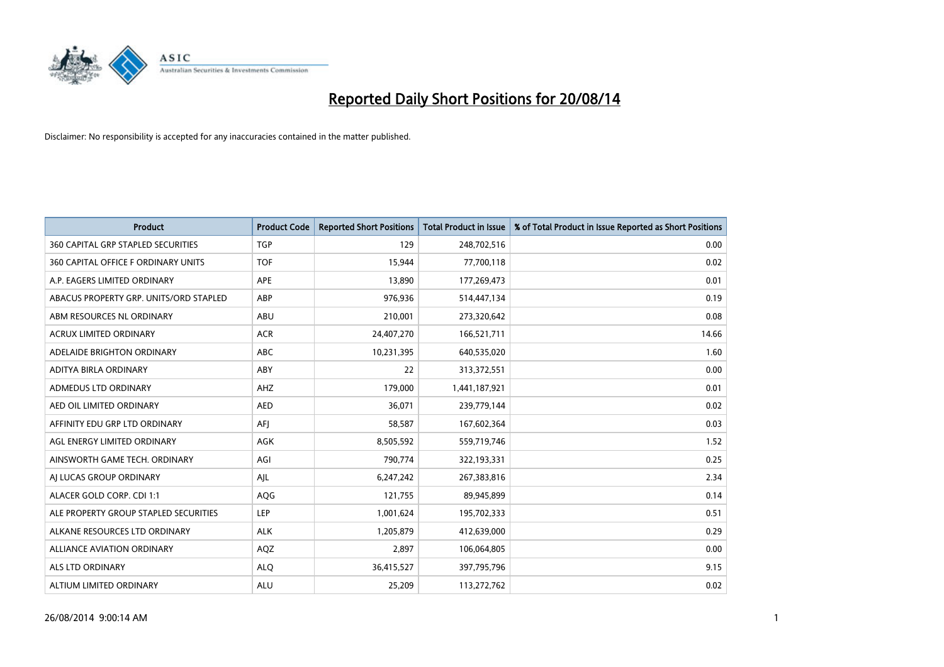

| <b>Product</b>                            | <b>Product Code</b> | <b>Reported Short Positions</b> | <b>Total Product in Issue</b> | % of Total Product in Issue Reported as Short Positions |
|-------------------------------------------|---------------------|---------------------------------|-------------------------------|---------------------------------------------------------|
| <b>360 CAPITAL GRP STAPLED SECURITIES</b> | <b>TGP</b>          | 129                             | 248,702,516                   | 0.00                                                    |
| 360 CAPITAL OFFICE F ORDINARY UNITS       | <b>TOF</b>          | 15.944                          | 77,700,118                    | 0.02                                                    |
| A.P. EAGERS LIMITED ORDINARY              | APE                 | 13,890                          | 177,269,473                   | 0.01                                                    |
| ABACUS PROPERTY GRP. UNITS/ORD STAPLED    | ABP                 | 976,936                         | 514,447,134                   | 0.19                                                    |
| ABM RESOURCES NL ORDINARY                 | ABU                 | 210,001                         | 273,320,642                   | 0.08                                                    |
| ACRUX LIMITED ORDINARY                    | <b>ACR</b>          | 24,407,270                      | 166,521,711                   | 14.66                                                   |
| ADELAIDE BRIGHTON ORDINARY                | <b>ABC</b>          | 10,231,395                      | 640,535,020                   | 1.60                                                    |
| ADITYA BIRLA ORDINARY                     | ABY                 | 22                              | 313,372,551                   | 0.00                                                    |
| ADMEDUS LTD ORDINARY                      | AHZ                 | 179,000                         | 1,441,187,921                 | 0.01                                                    |
| AED OIL LIMITED ORDINARY                  | <b>AED</b>          | 36,071                          | 239,779,144                   | 0.02                                                    |
| AFFINITY EDU GRP LTD ORDINARY             | AFI                 | 58,587                          | 167,602,364                   | 0.03                                                    |
| AGL ENERGY LIMITED ORDINARY               | AGK                 | 8,505,592                       | 559,719,746                   | 1.52                                                    |
| AINSWORTH GAME TECH. ORDINARY             | AGI                 | 790,774                         | 322,193,331                   | 0.25                                                    |
| AI LUCAS GROUP ORDINARY                   | AJL                 | 6,247,242                       | 267,383,816                   | 2.34                                                    |
| ALACER GOLD CORP. CDI 1:1                 | AQG                 | 121,755                         | 89,945,899                    | 0.14                                                    |
| ALE PROPERTY GROUP STAPLED SECURITIES     | LEP                 | 1,001,624                       | 195,702,333                   | 0.51                                                    |
| ALKANE RESOURCES LTD ORDINARY             | <b>ALK</b>          | 1,205,879                       | 412,639,000                   | 0.29                                                    |
| ALLIANCE AVIATION ORDINARY                | AQZ                 | 2,897                           | 106,064,805                   | 0.00                                                    |
| ALS LTD ORDINARY                          | <b>ALQ</b>          | 36,415,527                      | 397,795,796                   | 9.15                                                    |
| ALTIUM LIMITED ORDINARY                   | <b>ALU</b>          | 25,209                          | 113,272,762                   | 0.02                                                    |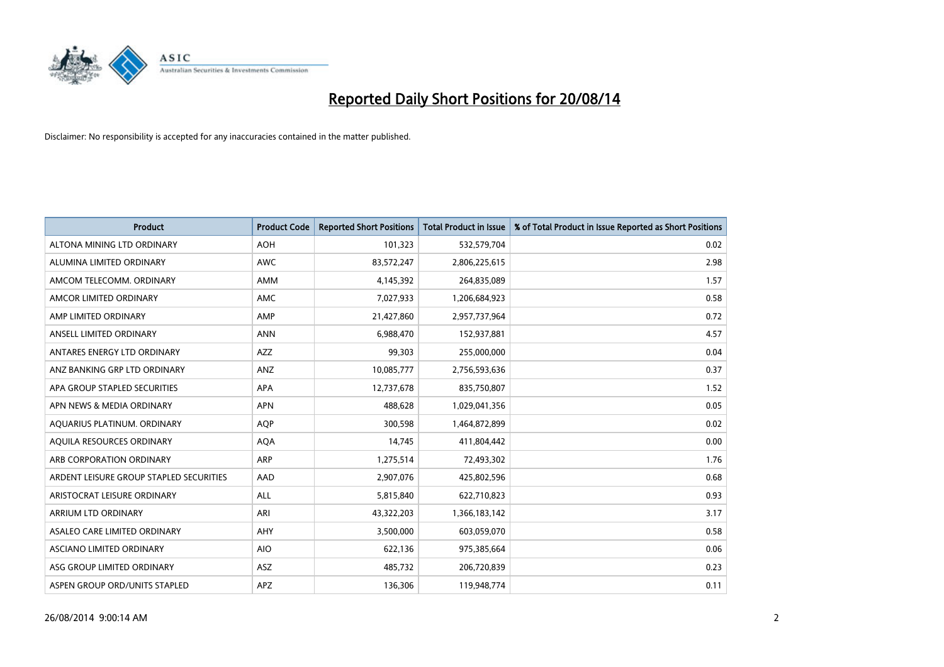

| <b>Product</b>                          | <b>Product Code</b> | <b>Reported Short Positions</b> | <b>Total Product in Issue</b> | % of Total Product in Issue Reported as Short Positions |
|-----------------------------------------|---------------------|---------------------------------|-------------------------------|---------------------------------------------------------|
| ALTONA MINING LTD ORDINARY              | <b>AOH</b>          | 101,323                         | 532,579,704                   | 0.02                                                    |
| ALUMINA LIMITED ORDINARY                | <b>AWC</b>          | 83,572,247                      | 2,806,225,615                 | 2.98                                                    |
| AMCOM TELECOMM. ORDINARY                | AMM                 | 4,145,392                       | 264,835,089                   | 1.57                                                    |
| AMCOR LIMITED ORDINARY                  | AMC                 | 7,027,933                       | 1,206,684,923                 | 0.58                                                    |
| AMP LIMITED ORDINARY                    | AMP                 | 21,427,860                      | 2,957,737,964                 | 0.72                                                    |
| ANSELL LIMITED ORDINARY                 | <b>ANN</b>          | 6,988,470                       | 152,937,881                   | 4.57                                                    |
| ANTARES ENERGY LTD ORDINARY             | AZZ                 | 99,303                          | 255,000,000                   | 0.04                                                    |
| ANZ BANKING GRP LTD ORDINARY            | ANZ                 | 10,085,777                      | 2,756,593,636                 | 0.37                                                    |
| APA GROUP STAPLED SECURITIES            | APA                 | 12,737,678                      | 835,750,807                   | 1.52                                                    |
| APN NEWS & MEDIA ORDINARY               | <b>APN</b>          | 488,628                         | 1,029,041,356                 | 0.05                                                    |
| AQUARIUS PLATINUM. ORDINARY             | <b>AQP</b>          | 300,598                         | 1,464,872,899                 | 0.02                                                    |
| AQUILA RESOURCES ORDINARY               | <b>AQA</b>          | 14,745                          | 411,804,442                   | 0.00                                                    |
| ARB CORPORATION ORDINARY                | ARP                 | 1,275,514                       | 72,493,302                    | 1.76                                                    |
| ARDENT LEISURE GROUP STAPLED SECURITIES | AAD                 | 2,907,076                       | 425,802,596                   | 0.68                                                    |
| ARISTOCRAT LEISURE ORDINARY             | ALL                 | 5,815,840                       | 622,710,823                   | 0.93                                                    |
| ARRIUM LTD ORDINARY                     | ARI                 | 43,322,203                      | 1,366,183,142                 | 3.17                                                    |
| ASALEO CARE LIMITED ORDINARY            | AHY                 | 3,500,000                       | 603,059,070                   | 0.58                                                    |
| ASCIANO LIMITED ORDINARY                | <b>AIO</b>          | 622,136                         | 975,385,664                   | 0.06                                                    |
| ASG GROUP LIMITED ORDINARY              | ASZ                 | 485,732                         | 206,720,839                   | 0.23                                                    |
| ASPEN GROUP ORD/UNITS STAPLED           | APZ                 | 136,306                         | 119,948,774                   | 0.11                                                    |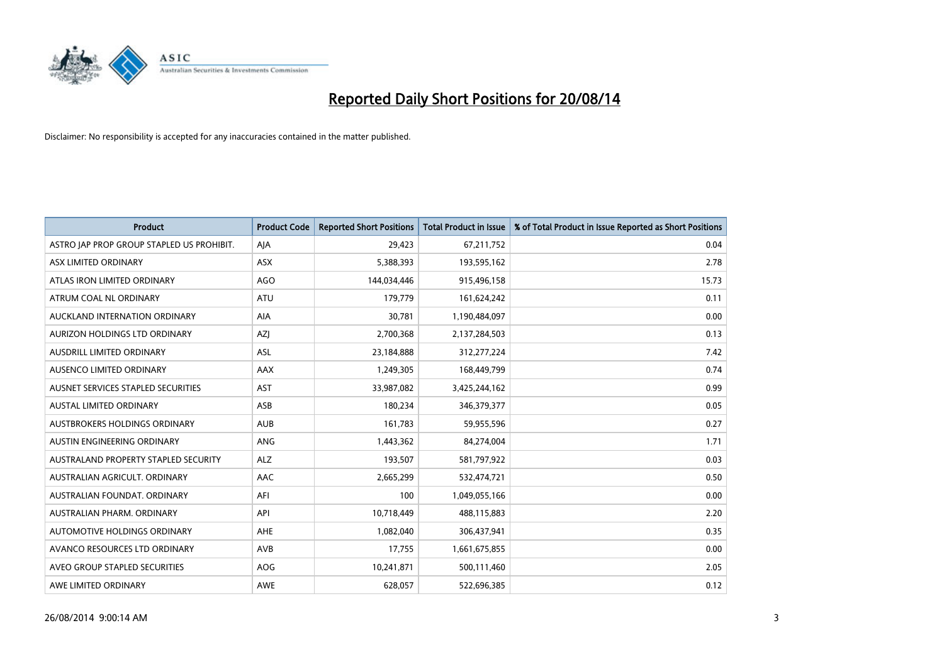

| <b>Product</b>                            | <b>Product Code</b> | <b>Reported Short Positions</b> | <b>Total Product in Issue</b> | % of Total Product in Issue Reported as Short Positions |
|-------------------------------------------|---------------------|---------------------------------|-------------------------------|---------------------------------------------------------|
| ASTRO JAP PROP GROUP STAPLED US PROHIBIT. | AJA                 | 29,423                          | 67,211,752                    | 0.04                                                    |
| ASX LIMITED ORDINARY                      | ASX                 | 5,388,393                       | 193,595,162                   | 2.78                                                    |
| ATLAS IRON LIMITED ORDINARY               | AGO                 | 144,034,446                     | 915,496,158                   | 15.73                                                   |
| ATRUM COAL NL ORDINARY                    | ATU                 | 179,779                         | 161,624,242                   | 0.11                                                    |
| AUCKLAND INTERNATION ORDINARY             | AIA                 | 30,781                          | 1,190,484,097                 | 0.00                                                    |
| AURIZON HOLDINGS LTD ORDINARY             | AZJ                 | 2,700,368                       | 2,137,284,503                 | 0.13                                                    |
| AUSDRILL LIMITED ORDINARY                 | ASL                 | 23,184,888                      | 312,277,224                   | 7.42                                                    |
| AUSENCO LIMITED ORDINARY                  | AAX                 | 1,249,305                       | 168,449,799                   | 0.74                                                    |
| AUSNET SERVICES STAPLED SECURITIES        | AST                 | 33,987,082                      | 3,425,244,162                 | 0.99                                                    |
| <b>AUSTAL LIMITED ORDINARY</b>            | ASB                 | 180,234                         | 346,379,377                   | 0.05                                                    |
| AUSTBROKERS HOLDINGS ORDINARY             | <b>AUB</b>          | 161,783                         | 59,955,596                    | 0.27                                                    |
| AUSTIN ENGINEERING ORDINARY               | <b>ANG</b>          | 1,443,362                       | 84,274,004                    | 1.71                                                    |
| AUSTRALAND PROPERTY STAPLED SECURITY      | <b>ALZ</b>          | 193,507                         | 581,797,922                   | 0.03                                                    |
| AUSTRALIAN AGRICULT, ORDINARY             | AAC                 | 2,665,299                       | 532,474,721                   | 0.50                                                    |
| AUSTRALIAN FOUNDAT, ORDINARY              | AFI                 | 100                             | 1,049,055,166                 | 0.00                                                    |
| AUSTRALIAN PHARM, ORDINARY                | API                 | 10,718,449                      | 488,115,883                   | 2.20                                                    |
| AUTOMOTIVE HOLDINGS ORDINARY              | AHE                 | 1,082,040                       | 306,437,941                   | 0.35                                                    |
| AVANCO RESOURCES LTD ORDINARY             | AVB                 | 17,755                          | 1,661,675,855                 | 0.00                                                    |
| AVEO GROUP STAPLED SECURITIES             | <b>AOG</b>          | 10,241,871                      | 500,111,460                   | 2.05                                                    |
| AWE LIMITED ORDINARY                      | <b>AWE</b>          | 628,057                         | 522,696,385                   | 0.12                                                    |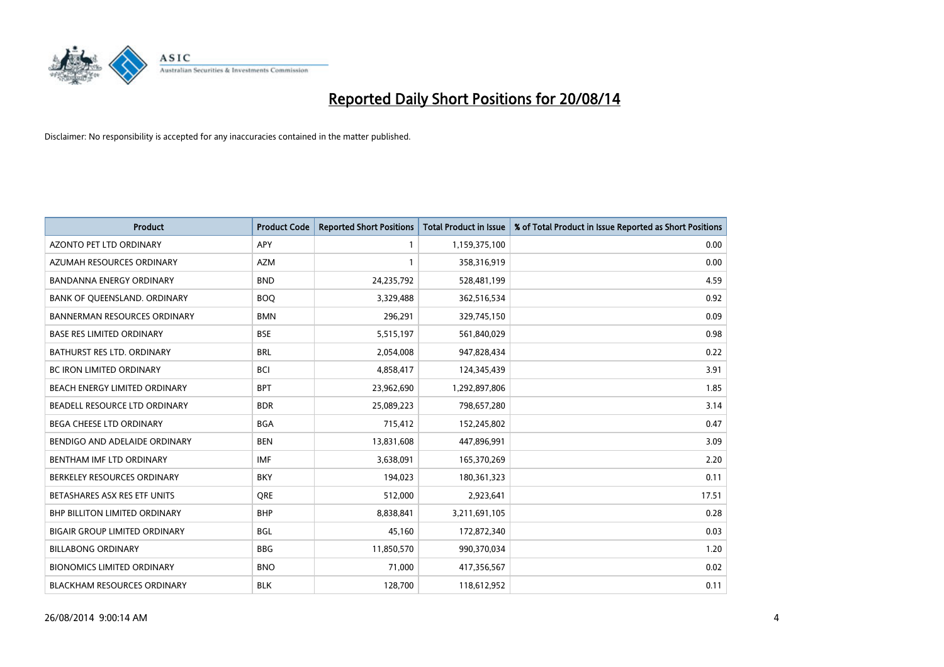

| <b>Product</b>                       | <b>Product Code</b> | <b>Reported Short Positions</b> | <b>Total Product in Issue</b> | % of Total Product in Issue Reported as Short Positions |
|--------------------------------------|---------------------|---------------------------------|-------------------------------|---------------------------------------------------------|
| <b>AZONTO PET LTD ORDINARY</b>       | APY                 | 1                               | 1,159,375,100                 | 0.00                                                    |
| AZUMAH RESOURCES ORDINARY            | <b>AZM</b>          | $\mathbf{1}$                    | 358,316,919                   | 0.00                                                    |
| BANDANNA ENERGY ORDINARY             | <b>BND</b>          | 24,235,792                      | 528,481,199                   | 4.59                                                    |
| BANK OF QUEENSLAND. ORDINARY         | <b>BOQ</b>          | 3,329,488                       | 362,516,534                   | 0.92                                                    |
| <b>BANNERMAN RESOURCES ORDINARY</b>  | <b>BMN</b>          | 296,291                         | 329,745,150                   | 0.09                                                    |
| <b>BASE RES LIMITED ORDINARY</b>     | <b>BSE</b>          | 5,515,197                       | 561,840,029                   | 0.98                                                    |
| BATHURST RES LTD. ORDINARY           | <b>BRL</b>          | 2,054,008                       | 947,828,434                   | 0.22                                                    |
| BC IRON LIMITED ORDINARY             | <b>BCI</b>          | 4,858,417                       | 124,345,439                   | 3.91                                                    |
| BEACH ENERGY LIMITED ORDINARY        | <b>BPT</b>          | 23,962,690                      | 1,292,897,806                 | 1.85                                                    |
| BEADELL RESOURCE LTD ORDINARY        | <b>BDR</b>          | 25,089,223                      | 798,657,280                   | 3.14                                                    |
| BEGA CHEESE LTD ORDINARY             | <b>BGA</b>          | 715,412                         | 152,245,802                   | 0.47                                                    |
| BENDIGO AND ADELAIDE ORDINARY        | <b>BEN</b>          | 13,831,608                      | 447,896,991                   | 3.09                                                    |
| BENTHAM IMF LTD ORDINARY             | <b>IMF</b>          | 3,638,091                       | 165,370,269                   | 2.20                                                    |
| BERKELEY RESOURCES ORDINARY          | <b>BKY</b>          | 194,023                         | 180,361,323                   | 0.11                                                    |
| BETASHARES ASX RES ETF UNITS         | <b>ORE</b>          | 512,000                         | 2,923,641                     | 17.51                                                   |
| BHP BILLITON LIMITED ORDINARY        | <b>BHP</b>          | 8,838,841                       | 3,211,691,105                 | 0.28                                                    |
| <b>BIGAIR GROUP LIMITED ORDINARY</b> | <b>BGL</b>          | 45,160                          | 172,872,340                   | 0.03                                                    |
| <b>BILLABONG ORDINARY</b>            | <b>BBG</b>          | 11,850,570                      | 990,370,034                   | 1.20                                                    |
| <b>BIONOMICS LIMITED ORDINARY</b>    | <b>BNO</b>          | 71,000                          | 417,356,567                   | 0.02                                                    |
| <b>BLACKHAM RESOURCES ORDINARY</b>   | <b>BLK</b>          | 128,700                         | 118,612,952                   | 0.11                                                    |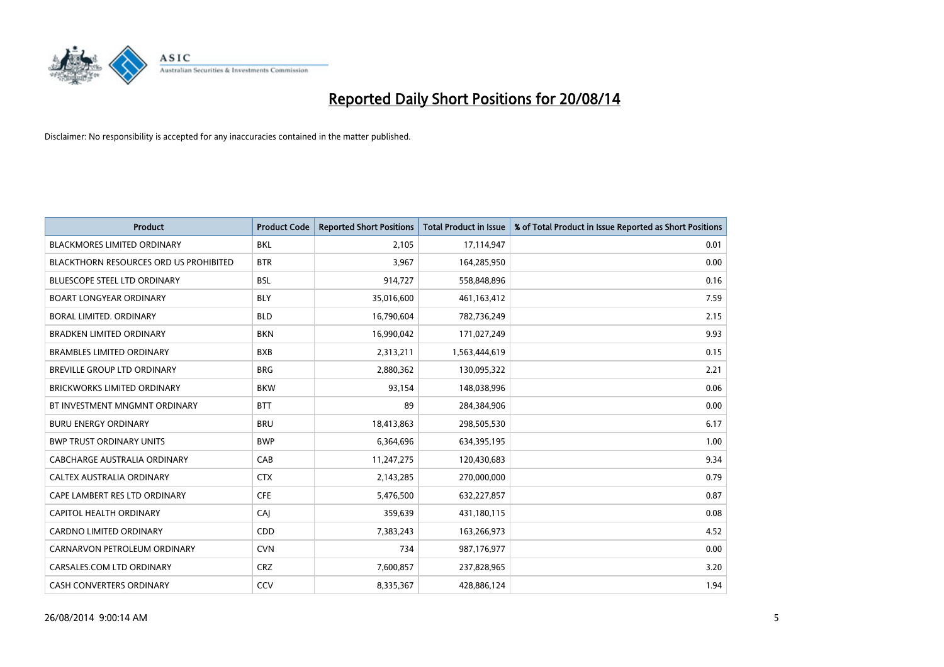

| Product                                       | <b>Product Code</b> | <b>Reported Short Positions</b> | <b>Total Product in Issue</b> | % of Total Product in Issue Reported as Short Positions |
|-----------------------------------------------|---------------------|---------------------------------|-------------------------------|---------------------------------------------------------|
| <b>BLACKMORES LIMITED ORDINARY</b>            | <b>BKL</b>          | 2,105                           | 17,114,947                    | 0.01                                                    |
| <b>BLACKTHORN RESOURCES ORD US PROHIBITED</b> | <b>BTR</b>          | 3,967                           | 164,285,950                   | 0.00                                                    |
| BLUESCOPE STEEL LTD ORDINARY                  | <b>BSL</b>          | 914,727                         | 558,848,896                   | 0.16                                                    |
| <b>BOART LONGYEAR ORDINARY</b>                | <b>BLY</b>          | 35,016,600                      | 461,163,412                   | 7.59                                                    |
| <b>BORAL LIMITED, ORDINARY</b>                | <b>BLD</b>          | 16,790,604                      | 782,736,249                   | 2.15                                                    |
| <b>BRADKEN LIMITED ORDINARY</b>               | <b>BKN</b>          | 16,990,042                      | 171,027,249                   | 9.93                                                    |
| <b>BRAMBLES LIMITED ORDINARY</b>              | <b>BXB</b>          | 2,313,211                       | 1,563,444,619                 | 0.15                                                    |
| BREVILLE GROUP LTD ORDINARY                   | <b>BRG</b>          | 2,880,362                       | 130,095,322                   | 2.21                                                    |
| <b>BRICKWORKS LIMITED ORDINARY</b>            | <b>BKW</b>          | 93,154                          | 148,038,996                   | 0.06                                                    |
| BT INVESTMENT MNGMNT ORDINARY                 | <b>BTT</b>          | 89                              | 284,384,906                   | 0.00                                                    |
| <b>BURU ENERGY ORDINARY</b>                   | <b>BRU</b>          | 18,413,863                      | 298,505,530                   | 6.17                                                    |
| <b>BWP TRUST ORDINARY UNITS</b>               | <b>BWP</b>          | 6,364,696                       | 634,395,195                   | 1.00                                                    |
| CABCHARGE AUSTRALIA ORDINARY                  | CAB                 | 11,247,275                      | 120,430,683                   | 9.34                                                    |
| CALTEX AUSTRALIA ORDINARY                     | <b>CTX</b>          | 2,143,285                       | 270,000,000                   | 0.79                                                    |
| CAPE LAMBERT RES LTD ORDINARY                 | <b>CFE</b>          | 5,476,500                       | 632,227,857                   | 0.87                                                    |
| <b>CAPITOL HEALTH ORDINARY</b>                | CAJ                 | 359,639                         | 431,180,115                   | 0.08                                                    |
| <b>CARDNO LIMITED ORDINARY</b>                | CDD                 | 7,383,243                       | 163,266,973                   | 4.52                                                    |
| CARNARVON PETROLEUM ORDINARY                  | <b>CVN</b>          | 734                             | 987,176,977                   | 0.00                                                    |
| CARSALES.COM LTD ORDINARY                     | <b>CRZ</b>          | 7,600,857                       | 237,828,965                   | 3.20                                                    |
| <b>CASH CONVERTERS ORDINARY</b>               | CCV                 | 8,335,367                       | 428,886,124                   | 1.94                                                    |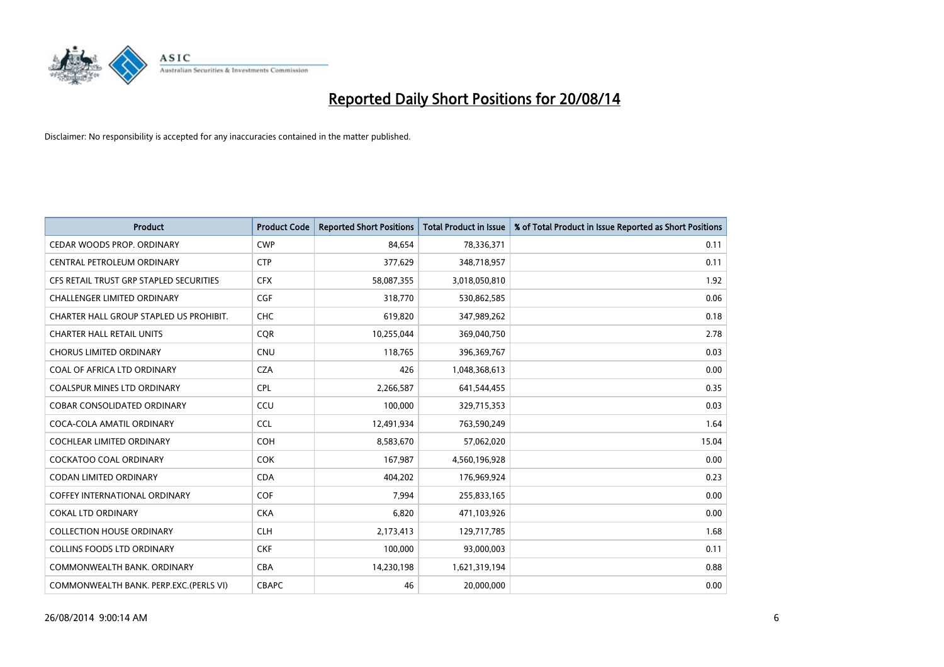

| <b>Product</b>                          | <b>Product Code</b> | <b>Reported Short Positions</b> | <b>Total Product in Issue</b> | % of Total Product in Issue Reported as Short Positions |
|-----------------------------------------|---------------------|---------------------------------|-------------------------------|---------------------------------------------------------|
| CEDAR WOODS PROP. ORDINARY              | <b>CWP</b>          | 84.654                          | 78,336,371                    | 0.11                                                    |
| CENTRAL PETROLEUM ORDINARY              | <b>CTP</b>          | 377,629                         | 348,718,957                   | 0.11                                                    |
| CFS RETAIL TRUST GRP STAPLED SECURITIES | <b>CFX</b>          | 58,087,355                      | 3,018,050,810                 | 1.92                                                    |
| <b>CHALLENGER LIMITED ORDINARY</b>      | <b>CGF</b>          | 318,770                         | 530,862,585                   | 0.06                                                    |
| CHARTER HALL GROUP STAPLED US PROHIBIT. | <b>CHC</b>          | 619,820                         | 347,989,262                   | 0.18                                                    |
| <b>CHARTER HALL RETAIL UNITS</b>        | CQR                 | 10,255,044                      | 369,040,750                   | 2.78                                                    |
| <b>CHORUS LIMITED ORDINARY</b>          | <b>CNU</b>          | 118,765                         | 396,369,767                   | 0.03                                                    |
| COAL OF AFRICA LTD ORDINARY             | <b>CZA</b>          | 426                             | 1,048,368,613                 | 0.00                                                    |
| <b>COALSPUR MINES LTD ORDINARY</b>      | <b>CPL</b>          | 2,266,587                       | 641,544,455                   | 0.35                                                    |
| <b>COBAR CONSOLIDATED ORDINARY</b>      | CCU                 | 100,000                         | 329,715,353                   | 0.03                                                    |
| COCA-COLA AMATIL ORDINARY               | <b>CCL</b>          | 12,491,934                      | 763,590,249                   | 1.64                                                    |
| <b>COCHLEAR LIMITED ORDINARY</b>        | <b>COH</b>          | 8,583,670                       | 57,062,020                    | 15.04                                                   |
| COCKATOO COAL ORDINARY                  | <b>COK</b>          | 167,987                         | 4,560,196,928                 | 0.00                                                    |
| <b>CODAN LIMITED ORDINARY</b>           | <b>CDA</b>          | 404,202                         | 176,969,924                   | 0.23                                                    |
| <b>COFFEY INTERNATIONAL ORDINARY</b>    | <b>COF</b>          | 7,994                           | 255,833,165                   | 0.00                                                    |
| <b>COKAL LTD ORDINARY</b>               | <b>CKA</b>          | 6,820                           | 471,103,926                   | 0.00                                                    |
| <b>COLLECTION HOUSE ORDINARY</b>        | <b>CLH</b>          | 2,173,413                       | 129,717,785                   | 1.68                                                    |
| <b>COLLINS FOODS LTD ORDINARY</b>       | <b>CKF</b>          | 100,000                         | 93,000,003                    | 0.11                                                    |
| COMMONWEALTH BANK, ORDINARY             | <b>CBA</b>          | 14,230,198                      | 1,621,319,194                 | 0.88                                                    |
| COMMONWEALTH BANK, PERP.EXC.(PERLS VI)  | <b>CBAPC</b>        | 46                              | 20,000,000                    | 0.00                                                    |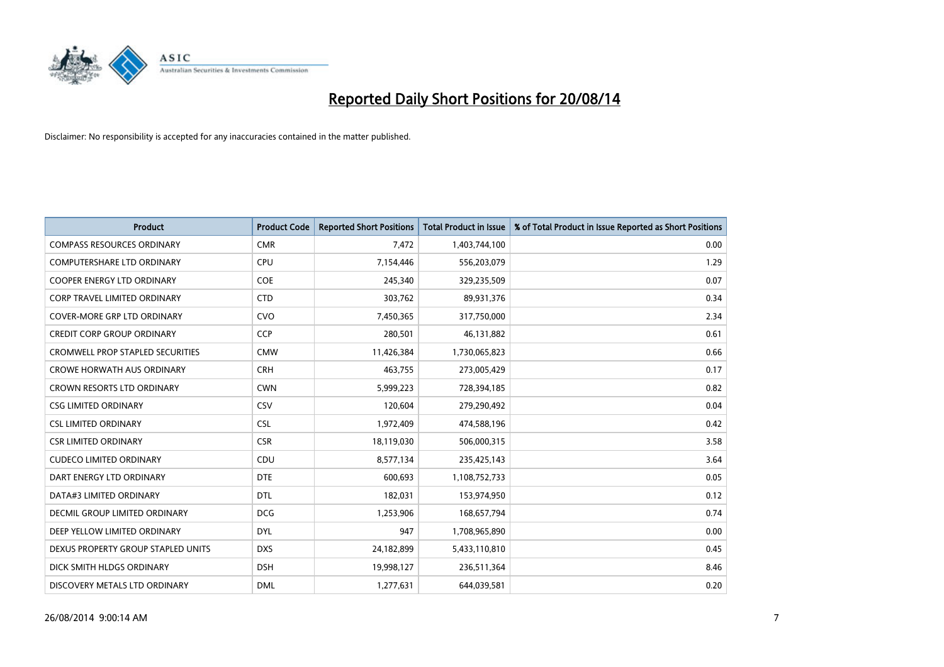

| <b>Product</b>                          | <b>Product Code</b> | <b>Reported Short Positions</b> | <b>Total Product in Issue</b> | % of Total Product in Issue Reported as Short Positions |
|-----------------------------------------|---------------------|---------------------------------|-------------------------------|---------------------------------------------------------|
| <b>COMPASS RESOURCES ORDINARY</b>       | <b>CMR</b>          | 7,472                           | 1,403,744,100                 | 0.00                                                    |
| COMPUTERSHARE LTD ORDINARY              | <b>CPU</b>          | 7,154,446                       | 556,203,079                   | 1.29                                                    |
| COOPER ENERGY LTD ORDINARY              | <b>COE</b>          | 245,340                         | 329,235,509                   | 0.07                                                    |
| <b>CORP TRAVEL LIMITED ORDINARY</b>     | <b>CTD</b>          | 303,762                         | 89,931,376                    | 0.34                                                    |
| <b>COVER-MORE GRP LTD ORDINARY</b>      | <b>CVO</b>          | 7,450,365                       | 317,750,000                   | 2.34                                                    |
| <b>CREDIT CORP GROUP ORDINARY</b>       | <b>CCP</b>          | 280,501                         | 46,131,882                    | 0.61                                                    |
| <b>CROMWELL PROP STAPLED SECURITIES</b> | <b>CMW</b>          | 11,426,384                      | 1,730,065,823                 | 0.66                                                    |
| <b>CROWE HORWATH AUS ORDINARY</b>       | <b>CRH</b>          | 463,755                         | 273,005,429                   | 0.17                                                    |
| <b>CROWN RESORTS LTD ORDINARY</b>       | <b>CWN</b>          | 5,999,223                       | 728,394,185                   | 0.82                                                    |
| <b>CSG LIMITED ORDINARY</b>             | CSV                 | 120,604                         | 279,290,492                   | 0.04                                                    |
| <b>CSL LIMITED ORDINARY</b>             | <b>CSL</b>          | 1,972,409                       | 474,588,196                   | 0.42                                                    |
| <b>CSR LIMITED ORDINARY</b>             | <b>CSR</b>          | 18,119,030                      | 506,000,315                   | 3.58                                                    |
| <b>CUDECO LIMITED ORDINARY</b>          | CDU                 | 8,577,134                       | 235,425,143                   | 3.64                                                    |
| DART ENERGY LTD ORDINARY                | <b>DTE</b>          | 600,693                         | 1,108,752,733                 | 0.05                                                    |
| DATA#3 LIMITED ORDINARY                 | <b>DTL</b>          | 182,031                         | 153,974,950                   | 0.12                                                    |
| <b>DECMIL GROUP LIMITED ORDINARY</b>    | <b>DCG</b>          | 1,253,906                       | 168,657,794                   | 0.74                                                    |
| DEEP YELLOW LIMITED ORDINARY            | <b>DYL</b>          | 947                             | 1,708,965,890                 | 0.00                                                    |
| DEXUS PROPERTY GROUP STAPLED UNITS      | <b>DXS</b>          | 24,182,899                      | 5,433,110,810                 | 0.45                                                    |
| DICK SMITH HLDGS ORDINARY               | <b>DSH</b>          | 19,998,127                      | 236,511,364                   | 8.46                                                    |
| DISCOVERY METALS LTD ORDINARY           | <b>DML</b>          | 1,277,631                       | 644,039,581                   | 0.20                                                    |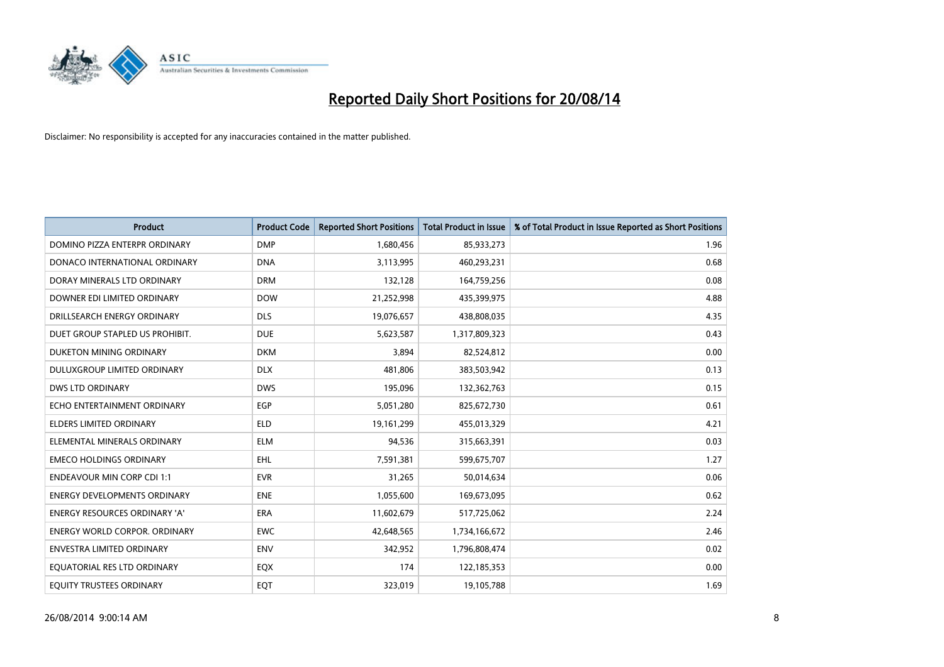

| <b>Product</b>                       | <b>Product Code</b> | <b>Reported Short Positions</b> | <b>Total Product in Issue</b> | % of Total Product in Issue Reported as Short Positions |
|--------------------------------------|---------------------|---------------------------------|-------------------------------|---------------------------------------------------------|
| DOMINO PIZZA ENTERPR ORDINARY        | <b>DMP</b>          | 1,680,456                       | 85,933,273                    | 1.96                                                    |
| DONACO INTERNATIONAL ORDINARY        | <b>DNA</b>          | 3,113,995                       | 460,293,231                   | 0.68                                                    |
| DORAY MINERALS LTD ORDINARY          | <b>DRM</b>          | 132,128                         | 164,759,256                   | 0.08                                                    |
| DOWNER EDI LIMITED ORDINARY          | <b>DOW</b>          | 21,252,998                      | 435,399,975                   | 4.88                                                    |
| DRILLSEARCH ENERGY ORDINARY          | <b>DLS</b>          | 19,076,657                      | 438,808,035                   | 4.35                                                    |
| DUET GROUP STAPLED US PROHIBIT.      | <b>DUE</b>          | 5,623,587                       | 1,317,809,323                 | 0.43                                                    |
| DUKETON MINING ORDINARY              | <b>DKM</b>          | 3.894                           | 82,524,812                    | 0.00                                                    |
| DULUXGROUP LIMITED ORDINARY          | <b>DLX</b>          | 481,806                         | 383,503,942                   | 0.13                                                    |
| DWS LTD ORDINARY                     | <b>DWS</b>          | 195,096                         | 132,362,763                   | 0.15                                                    |
| ECHO ENTERTAINMENT ORDINARY          | EGP                 | 5,051,280                       | 825,672,730                   | 0.61                                                    |
| ELDERS LIMITED ORDINARY              | <b>ELD</b>          | 19,161,299                      | 455,013,329                   | 4.21                                                    |
| ELEMENTAL MINERALS ORDINARY          | ELM                 | 94,536                          | 315,663,391                   | 0.03                                                    |
| <b>EMECO HOLDINGS ORDINARY</b>       | EHL                 | 7,591,381                       | 599,675,707                   | 1.27                                                    |
| <b>ENDEAVOUR MIN CORP CDI 1:1</b>    | <b>EVR</b>          | 31,265                          | 50,014,634                    | 0.06                                                    |
| <b>ENERGY DEVELOPMENTS ORDINARY</b>  | <b>ENE</b>          | 1,055,600                       | 169,673,095                   | 0.62                                                    |
| <b>ENERGY RESOURCES ORDINARY 'A'</b> | <b>ERA</b>          | 11,602,679                      | 517,725,062                   | 2.24                                                    |
| <b>ENERGY WORLD CORPOR. ORDINARY</b> | <b>EWC</b>          | 42,648,565                      | 1,734,166,672                 | 2.46                                                    |
| <b>ENVESTRA LIMITED ORDINARY</b>     | <b>ENV</b>          | 342,952                         | 1,796,808,474                 | 0.02                                                    |
| EQUATORIAL RES LTD ORDINARY          | EQX                 | 174                             | 122,185,353                   | 0.00                                                    |
| EQUITY TRUSTEES ORDINARY             | EQT                 | 323,019                         | 19,105,788                    | 1.69                                                    |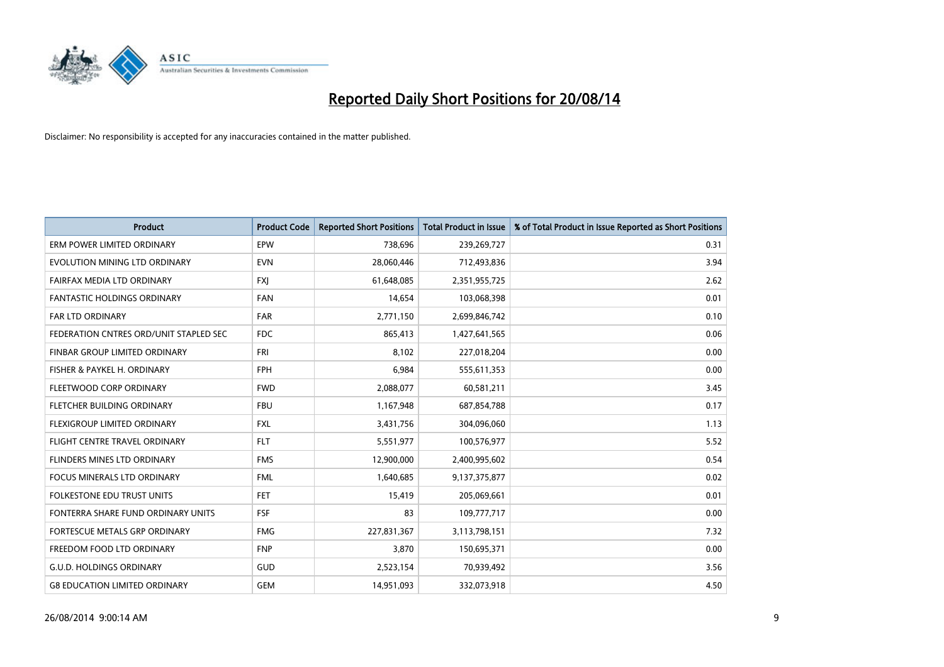

| Product                                | <b>Product Code</b> | <b>Reported Short Positions</b> | <b>Total Product in Issue</b> | % of Total Product in Issue Reported as Short Positions |
|----------------------------------------|---------------------|---------------------------------|-------------------------------|---------------------------------------------------------|
| ERM POWER LIMITED ORDINARY             | EPW                 | 738,696                         | 239,269,727                   | 0.31                                                    |
| EVOLUTION MINING LTD ORDINARY          | <b>EVN</b>          | 28,060,446                      | 712,493,836                   | 3.94                                                    |
| FAIRFAX MEDIA LTD ORDINARY             | <b>FXI</b>          | 61,648,085                      | 2,351,955,725                 | 2.62                                                    |
| FANTASTIC HOLDINGS ORDINARY            | <b>FAN</b>          | 14,654                          | 103,068,398                   | 0.01                                                    |
| <b>FAR LTD ORDINARY</b>                | <b>FAR</b>          | 2,771,150                       | 2,699,846,742                 | 0.10                                                    |
| FEDERATION CNTRES ORD/UNIT STAPLED SEC | <b>FDC</b>          | 865,413                         | 1,427,641,565                 | 0.06                                                    |
| FINBAR GROUP LIMITED ORDINARY          | <b>FRI</b>          | 8,102                           | 227,018,204                   | 0.00                                                    |
| FISHER & PAYKEL H. ORDINARY            | <b>FPH</b>          | 6,984                           | 555,611,353                   | 0.00                                                    |
| FLEETWOOD CORP ORDINARY                | <b>FWD</b>          | 2,088,077                       | 60,581,211                    | 3.45                                                    |
| FLETCHER BUILDING ORDINARY             | <b>FBU</b>          | 1,167,948                       | 687,854,788                   | 0.17                                                    |
| FLEXIGROUP LIMITED ORDINARY            | <b>FXL</b>          | 3,431,756                       | 304,096,060                   | 1.13                                                    |
| FLIGHT CENTRE TRAVEL ORDINARY          | <b>FLT</b>          | 5,551,977                       | 100,576,977                   | 5.52                                                    |
| FLINDERS MINES LTD ORDINARY            | <b>FMS</b>          | 12,900,000                      | 2,400,995,602                 | 0.54                                                    |
| <b>FOCUS MINERALS LTD ORDINARY</b>     | <b>FML</b>          | 1,640,685                       | 9,137,375,877                 | 0.02                                                    |
| <b>FOLKESTONE EDU TRUST UNITS</b>      | <b>FET</b>          | 15,419                          | 205,069,661                   | 0.01                                                    |
| FONTERRA SHARE FUND ORDINARY UNITS     | <b>FSF</b>          | 83                              | 109,777,717                   | 0.00                                                    |
| FORTESCUE METALS GRP ORDINARY          | <b>FMG</b>          | 227,831,367                     | 3,113,798,151                 | 7.32                                                    |
| FREEDOM FOOD LTD ORDINARY              | <b>FNP</b>          | 3,870                           | 150,695,371                   | 0.00                                                    |
| <b>G.U.D. HOLDINGS ORDINARY</b>        | GUD                 | 2,523,154                       | 70,939,492                    | 3.56                                                    |
| <b>G8 EDUCATION LIMITED ORDINARY</b>   | <b>GEM</b>          | 14,951,093                      | 332,073,918                   | 4.50                                                    |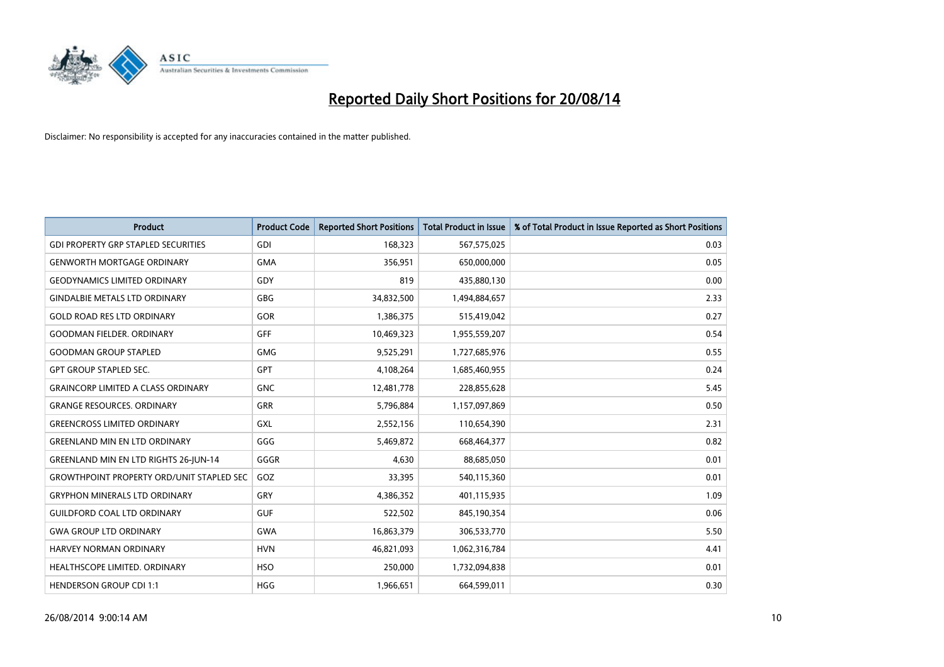

| <b>Product</b>                                   | <b>Product Code</b> | <b>Reported Short Positions</b> | <b>Total Product in Issue</b> | % of Total Product in Issue Reported as Short Positions |
|--------------------------------------------------|---------------------|---------------------------------|-------------------------------|---------------------------------------------------------|
| <b>GDI PROPERTY GRP STAPLED SECURITIES</b>       | GDI                 | 168,323                         | 567,575,025                   | 0.03                                                    |
| <b>GENWORTH MORTGAGE ORDINARY</b>                | <b>GMA</b>          | 356,951                         | 650,000,000                   | 0.05                                                    |
| <b>GEODYNAMICS LIMITED ORDINARY</b>              | GDY                 | 819                             | 435,880,130                   | 0.00                                                    |
| <b>GINDALBIE METALS LTD ORDINARY</b>             | GBG                 | 34,832,500                      | 1,494,884,657                 | 2.33                                                    |
| <b>GOLD ROAD RES LTD ORDINARY</b>                | GOR                 | 1,386,375                       | 515,419,042                   | 0.27                                                    |
| <b>GOODMAN FIELDER, ORDINARY</b>                 | <b>GFF</b>          | 10,469,323                      | 1,955,559,207                 | 0.54                                                    |
| <b>GOODMAN GROUP STAPLED</b>                     | GMG                 | 9,525,291                       | 1,727,685,976                 | 0.55                                                    |
| <b>GPT GROUP STAPLED SEC.</b>                    | GPT                 | 4,108,264                       | 1,685,460,955                 | 0.24                                                    |
| <b>GRAINCORP LIMITED A CLASS ORDINARY</b>        | <b>GNC</b>          | 12,481,778                      | 228,855,628                   | 5.45                                                    |
| <b>GRANGE RESOURCES, ORDINARY</b>                | GRR                 | 5,796,884                       | 1,157,097,869                 | 0.50                                                    |
| <b>GREENCROSS LIMITED ORDINARY</b>               | GXL                 | 2,552,156                       | 110,654,390                   | 2.31                                                    |
| <b>GREENLAND MIN EN LTD ORDINARY</b>             | GGG                 | 5,469,872                       | 668,464,377                   | 0.82                                                    |
| <b>GREENLAND MIN EN LTD RIGHTS 26-JUN-14</b>     | GGGR                | 4,630                           | 88,685,050                    | 0.01                                                    |
| <b>GROWTHPOINT PROPERTY ORD/UNIT STAPLED SEC</b> | GOZ                 | 33,395                          | 540,115,360                   | 0.01                                                    |
| <b>GRYPHON MINERALS LTD ORDINARY</b>             | GRY                 | 4,386,352                       | 401,115,935                   | 1.09                                                    |
| GUILDFORD COAL LTD ORDINARY                      | <b>GUF</b>          | 522,502                         | 845,190,354                   | 0.06                                                    |
| <b>GWA GROUP LTD ORDINARY</b>                    | <b>GWA</b>          | 16,863,379                      | 306,533,770                   | 5.50                                                    |
| <b>HARVEY NORMAN ORDINARY</b>                    | <b>HVN</b>          | 46,821,093                      | 1,062,316,784                 | 4.41                                                    |
| HEALTHSCOPE LIMITED. ORDINARY                    | <b>HSO</b>          | 250,000                         | 1,732,094,838                 | 0.01                                                    |
| <b>HENDERSON GROUP CDI 1:1</b>                   | <b>HGG</b>          | 1,966,651                       | 664,599,011                   | 0.30                                                    |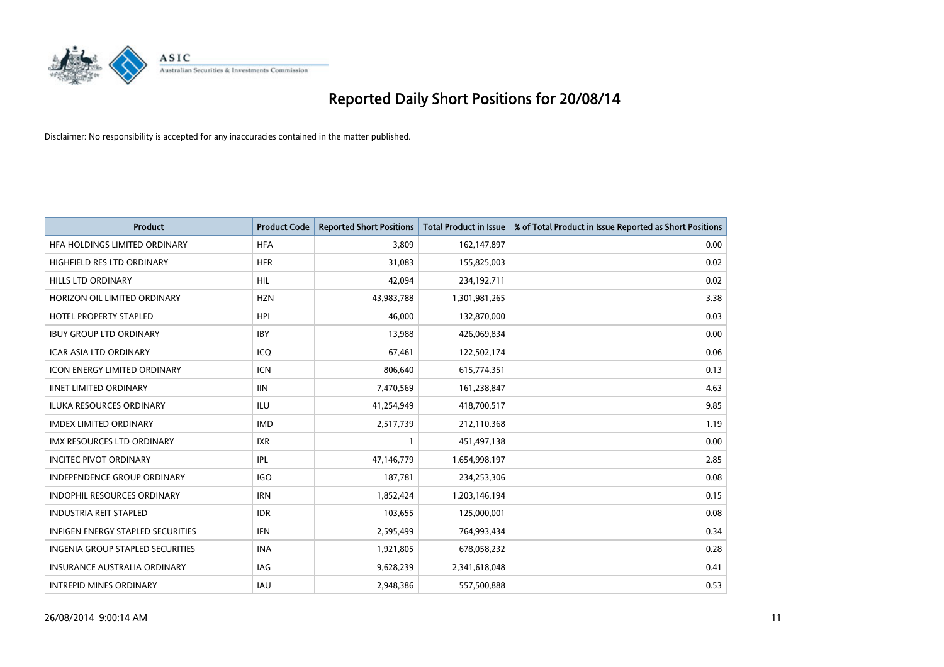

| <b>Product</b>                           | <b>Product Code</b> | <b>Reported Short Positions</b> | Total Product in Issue | % of Total Product in Issue Reported as Short Positions |
|------------------------------------------|---------------------|---------------------------------|------------------------|---------------------------------------------------------|
| HFA HOLDINGS LIMITED ORDINARY            | <b>HFA</b>          | 3.809                           | 162,147,897            | 0.00                                                    |
| <b>HIGHFIELD RES LTD ORDINARY</b>        | <b>HFR</b>          | 31,083                          | 155,825,003            | 0.02                                                    |
| <b>HILLS LTD ORDINARY</b>                | HIL                 | 42,094                          | 234,192,711            | 0.02                                                    |
| HORIZON OIL LIMITED ORDINARY             | <b>HZN</b>          | 43,983,788                      | 1,301,981,265          | 3.38                                                    |
| <b>HOTEL PROPERTY STAPLED</b>            | <b>HPI</b>          | 46,000                          | 132,870,000            | 0.03                                                    |
| <b>IBUY GROUP LTD ORDINARY</b>           | <b>IBY</b>          | 13,988                          | 426,069,834            | 0.00                                                    |
| <b>ICAR ASIA LTD ORDINARY</b>            | ICQ                 | 67,461                          | 122,502,174            | 0.06                                                    |
| <b>ICON ENERGY LIMITED ORDINARY</b>      | <b>ICN</b>          | 806,640                         | 615,774,351            | 0.13                                                    |
| <b>IINET LIMITED ORDINARY</b>            | <b>IIN</b>          | 7,470,569                       | 161,238,847            | 4.63                                                    |
| <b>ILUKA RESOURCES ORDINARY</b>          | <b>ILU</b>          | 41,254,949                      | 418,700,517            | 9.85                                                    |
| <b>IMDEX LIMITED ORDINARY</b>            | <b>IMD</b>          | 2,517,739                       | 212,110,368            | 1.19                                                    |
| <b>IMX RESOURCES LTD ORDINARY</b>        | <b>IXR</b>          | $\mathbf{1}$                    | 451,497,138            | 0.00                                                    |
| <b>INCITEC PIVOT ORDINARY</b>            | <b>IPL</b>          | 47,146,779                      | 1,654,998,197          | 2.85                                                    |
| <b>INDEPENDENCE GROUP ORDINARY</b>       | <b>IGO</b>          | 187,781                         | 234,253,306            | 0.08                                                    |
| <b>INDOPHIL RESOURCES ORDINARY</b>       | <b>IRN</b>          | 1,852,424                       | 1,203,146,194          | 0.15                                                    |
| <b>INDUSTRIA REIT STAPLED</b>            | <b>IDR</b>          | 103,655                         | 125,000,001            | 0.08                                                    |
| <b>INFIGEN ENERGY STAPLED SECURITIES</b> | IFN                 | 2,595,499                       | 764,993,434            | 0.34                                                    |
| INGENIA GROUP STAPLED SECURITIES         | <b>INA</b>          | 1,921,805                       | 678,058,232            | 0.28                                                    |
| <b>INSURANCE AUSTRALIA ORDINARY</b>      | <b>IAG</b>          | 9,628,239                       | 2,341,618,048          | 0.41                                                    |
| <b>INTREPID MINES ORDINARY</b>           | <b>IAU</b>          | 2,948,386                       | 557,500,888            | 0.53                                                    |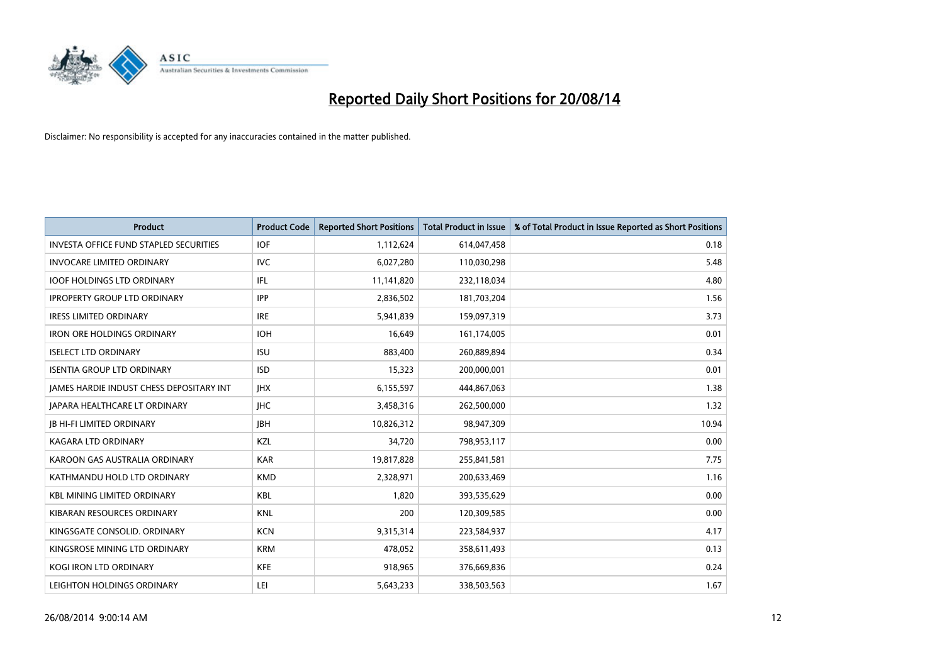

| <b>Product</b>                                | <b>Product Code</b> | <b>Reported Short Positions</b> | <b>Total Product in Issue</b> | % of Total Product in Issue Reported as Short Positions |
|-----------------------------------------------|---------------------|---------------------------------|-------------------------------|---------------------------------------------------------|
| <b>INVESTA OFFICE FUND STAPLED SECURITIES</b> | <b>IOF</b>          | 1,112,624                       | 614,047,458                   | 0.18                                                    |
| <b>INVOCARE LIMITED ORDINARY</b>              | IVC                 | 6,027,280                       | 110,030,298                   | 5.48                                                    |
| <b>IOOF HOLDINGS LTD ORDINARY</b>             | IFL                 | 11,141,820                      | 232,118,034                   | 4.80                                                    |
| <b>IPROPERTY GROUP LTD ORDINARY</b>           | <b>IPP</b>          | 2,836,502                       | 181,703,204                   | 1.56                                                    |
| <b>IRESS LIMITED ORDINARY</b>                 | <b>IRE</b>          | 5,941,839                       | 159,097,319                   | 3.73                                                    |
| <b>IRON ORE HOLDINGS ORDINARY</b>             | <b>IOH</b>          | 16,649                          | 161,174,005                   | 0.01                                                    |
| <b>ISELECT LTD ORDINARY</b>                   | <b>ISU</b>          | 883,400                         | 260,889,894                   | 0.34                                                    |
| <b>ISENTIA GROUP LTD ORDINARY</b>             | <b>ISD</b>          | 15,323                          | 200,000,001                   | 0.01                                                    |
| JAMES HARDIE INDUST CHESS DEPOSITARY INT      | <b>IHX</b>          | 6,155,597                       | 444,867,063                   | 1.38                                                    |
| <b>JAPARA HEALTHCARE LT ORDINARY</b>          | <b>IHC</b>          | 3,458,316                       | 262,500,000                   | 1.32                                                    |
| <b>JB HI-FI LIMITED ORDINARY</b>              | <b>IBH</b>          | 10,826,312                      | 98,947,309                    | 10.94                                                   |
| <b>KAGARA LTD ORDINARY</b>                    | KZL                 | 34,720                          | 798,953,117                   | 0.00                                                    |
| KAROON GAS AUSTRALIA ORDINARY                 | <b>KAR</b>          | 19,817,828                      | 255,841,581                   | 7.75                                                    |
| KATHMANDU HOLD LTD ORDINARY                   | <b>KMD</b>          | 2,328,971                       | 200,633,469                   | 1.16                                                    |
| <b>KBL MINING LIMITED ORDINARY</b>            | <b>KBL</b>          | 1,820                           | 393,535,629                   | 0.00                                                    |
| KIBARAN RESOURCES ORDINARY                    | <b>KNL</b>          | 200                             | 120,309,585                   | 0.00                                                    |
| KINGSGATE CONSOLID. ORDINARY                  | <b>KCN</b>          | 9,315,314                       | 223,584,937                   | 4.17                                                    |
| KINGSROSE MINING LTD ORDINARY                 | <b>KRM</b>          | 478,052                         | 358,611,493                   | 0.13                                                    |
| <b>KOGI IRON LTD ORDINARY</b>                 | <b>KFE</b>          | 918,965                         | 376,669,836                   | 0.24                                                    |
| LEIGHTON HOLDINGS ORDINARY                    | LEI                 | 5,643,233                       | 338,503,563                   | 1.67                                                    |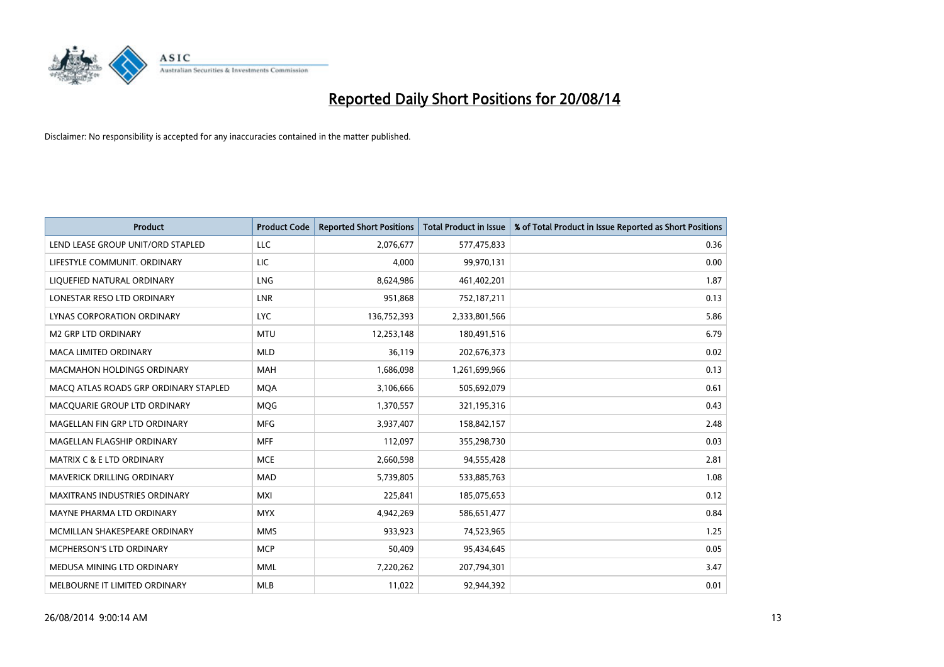

| <b>Product</b>                        | <b>Product Code</b> | <b>Reported Short Positions</b> | <b>Total Product in Issue</b> | % of Total Product in Issue Reported as Short Positions |
|---------------------------------------|---------------------|---------------------------------|-------------------------------|---------------------------------------------------------|
| LEND LEASE GROUP UNIT/ORD STAPLED     | LLC                 | 2,076,677                       | 577,475,833                   | 0.36                                                    |
| LIFESTYLE COMMUNIT. ORDINARY          | LIC                 | 4,000                           | 99,970,131                    | 0.00                                                    |
| LIQUEFIED NATURAL ORDINARY            | <b>LNG</b>          | 8,624,986                       | 461,402,201                   | 1.87                                                    |
| LONESTAR RESO LTD ORDINARY            | <b>LNR</b>          | 951,868                         | 752,187,211                   | 0.13                                                    |
| LYNAS CORPORATION ORDINARY            | <b>LYC</b>          | 136,752,393                     | 2,333,801,566                 | 5.86                                                    |
| <b>M2 GRP LTD ORDINARY</b>            | <b>MTU</b>          | 12,253,148                      | 180,491,516                   | 6.79                                                    |
| <b>MACA LIMITED ORDINARY</b>          | <b>MLD</b>          | 36,119                          | 202,676,373                   | 0.02                                                    |
| <b>MACMAHON HOLDINGS ORDINARY</b>     | <b>MAH</b>          | 1,686,098                       | 1,261,699,966                 | 0.13                                                    |
| MACO ATLAS ROADS GRP ORDINARY STAPLED | <b>MOA</b>          | 3,106,666                       | 505,692,079                   | 0.61                                                    |
| MACQUARIE GROUP LTD ORDINARY          | <b>MQG</b>          | 1,370,557                       | 321,195,316                   | 0.43                                                    |
| MAGELLAN FIN GRP LTD ORDINARY         | <b>MFG</b>          | 3,937,407                       | 158,842,157                   | 2.48                                                    |
| MAGELLAN FLAGSHIP ORDINARY            | <b>MFF</b>          | 112,097                         | 355,298,730                   | 0.03                                                    |
| <b>MATRIX C &amp; E LTD ORDINARY</b>  | <b>MCE</b>          | 2,660,598                       | 94,555,428                    | 2.81                                                    |
| MAVERICK DRILLING ORDINARY            | <b>MAD</b>          | 5,739,805                       | 533,885,763                   | 1.08                                                    |
| <b>MAXITRANS INDUSTRIES ORDINARY</b>  | <b>MXI</b>          | 225,841                         | 185,075,653                   | 0.12                                                    |
| MAYNE PHARMA LTD ORDINARY             | <b>MYX</b>          | 4,942,269                       | 586,651,477                   | 0.84                                                    |
| MCMILLAN SHAKESPEARE ORDINARY         | <b>MMS</b>          | 933,923                         | 74,523,965                    | 1.25                                                    |
| MCPHERSON'S LTD ORDINARY              | <b>MCP</b>          | 50,409                          | 95,434,645                    | 0.05                                                    |
| MEDUSA MINING LTD ORDINARY            | <b>MML</b>          | 7,220,262                       | 207,794,301                   | 3.47                                                    |
| MELBOURNE IT LIMITED ORDINARY         | <b>MLB</b>          | 11,022                          | 92,944,392                    | 0.01                                                    |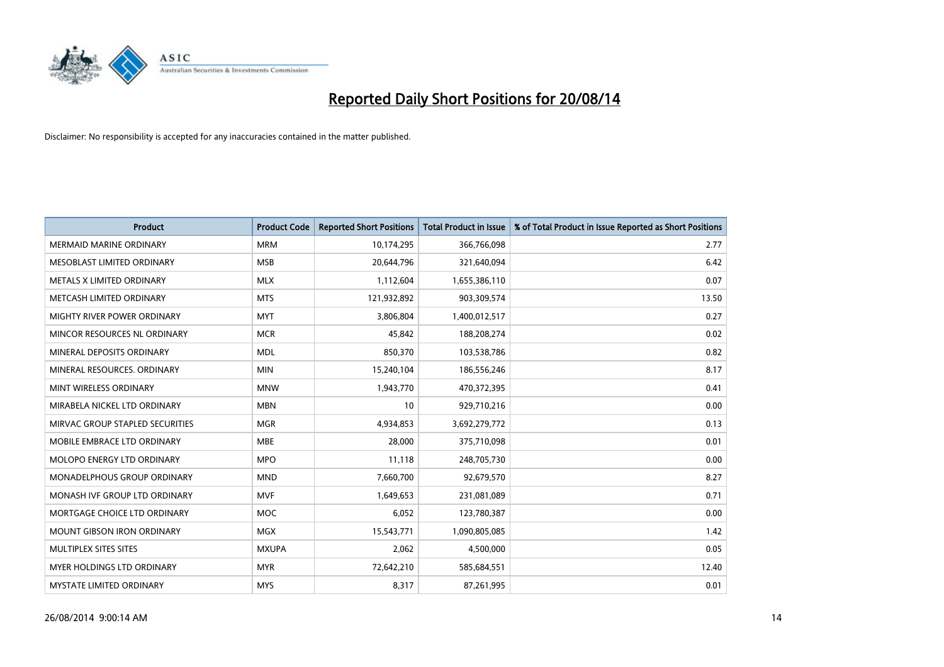

| <b>Product</b>                     | <b>Product Code</b> | <b>Reported Short Positions</b> | <b>Total Product in Issue</b> | % of Total Product in Issue Reported as Short Positions |
|------------------------------------|---------------------|---------------------------------|-------------------------------|---------------------------------------------------------|
| <b>MERMAID MARINE ORDINARY</b>     | <b>MRM</b>          | 10,174,295                      | 366,766,098                   | 2.77                                                    |
| MESOBLAST LIMITED ORDINARY         | <b>MSB</b>          | 20,644,796                      | 321,640,094                   | 6.42                                                    |
| METALS X LIMITED ORDINARY          | <b>MLX</b>          | 1,112,604                       | 1,655,386,110                 | 0.07                                                    |
| METCASH LIMITED ORDINARY           | <b>MTS</b>          | 121,932,892                     | 903,309,574                   | 13.50                                                   |
| <b>MIGHTY RIVER POWER ORDINARY</b> | <b>MYT</b>          | 3,806,804                       | 1,400,012,517                 | 0.27                                                    |
| MINCOR RESOURCES NL ORDINARY       | <b>MCR</b>          | 45,842                          | 188,208,274                   | 0.02                                                    |
| MINERAL DEPOSITS ORDINARY          | <b>MDL</b>          | 850,370                         | 103,538,786                   | 0.82                                                    |
| MINERAL RESOURCES. ORDINARY        | <b>MIN</b>          | 15,240,104                      | 186,556,246                   | 8.17                                                    |
| MINT WIRELESS ORDINARY             | <b>MNW</b>          | 1,943,770                       | 470,372,395                   | 0.41                                                    |
| MIRABELA NICKEL LTD ORDINARY       | <b>MBN</b>          | 10                              | 929,710,216                   | 0.00                                                    |
| MIRVAC GROUP STAPLED SECURITIES    | <b>MGR</b>          | 4,934,853                       | 3,692,279,772                 | 0.13                                                    |
| MOBILE EMBRACE LTD ORDINARY        | <b>MBE</b>          | 28,000                          | 375,710,098                   | 0.01                                                    |
| MOLOPO ENERGY LTD ORDINARY         | <b>MPO</b>          | 11,118                          | 248,705,730                   | 0.00                                                    |
| <b>MONADELPHOUS GROUP ORDINARY</b> | <b>MND</b>          | 7,660,700                       | 92,679,570                    | 8.27                                                    |
| MONASH IVF GROUP LTD ORDINARY      | <b>MVF</b>          | 1,649,653                       | 231,081,089                   | 0.71                                                    |
| MORTGAGE CHOICE LTD ORDINARY       | MOC                 | 6,052                           | 123,780,387                   | 0.00                                                    |
| MOUNT GIBSON IRON ORDINARY         | MGX                 | 15,543,771                      | 1,090,805,085                 | 1.42                                                    |
| MULTIPLEX SITES SITES              | <b>MXUPA</b>        | 2,062                           | 4,500,000                     | 0.05                                                    |
| <b>MYER HOLDINGS LTD ORDINARY</b>  | <b>MYR</b>          | 72,642,210                      | 585,684,551                   | 12.40                                                   |
| MYSTATE LIMITED ORDINARY           | <b>MYS</b>          | 8,317                           | 87,261,995                    | 0.01                                                    |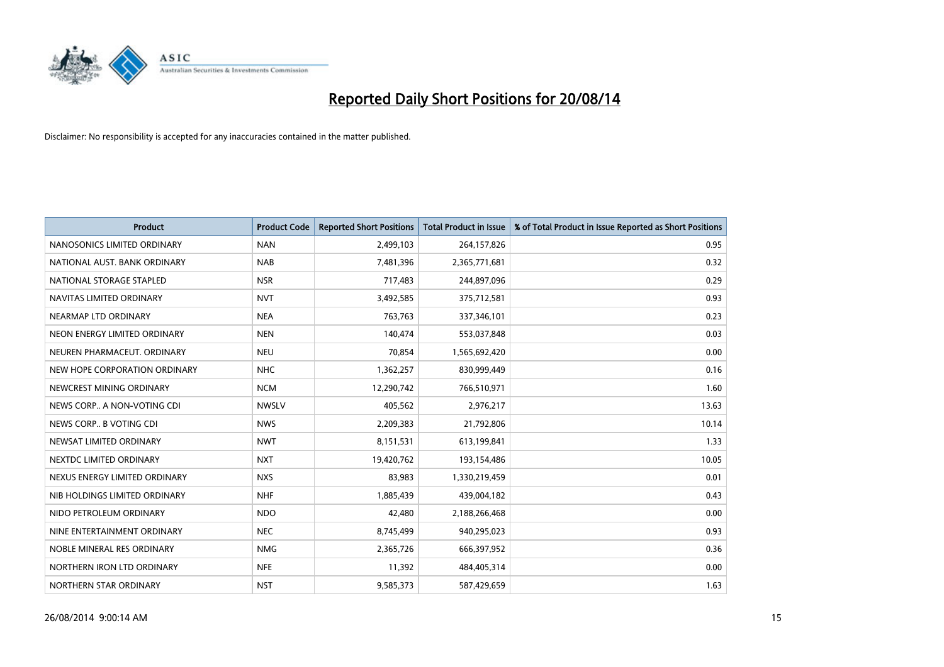

| <b>Product</b>                | <b>Product Code</b> | <b>Reported Short Positions</b> | <b>Total Product in Issue</b> | % of Total Product in Issue Reported as Short Positions |
|-------------------------------|---------------------|---------------------------------|-------------------------------|---------------------------------------------------------|
| NANOSONICS LIMITED ORDINARY   | <b>NAN</b>          | 2,499,103                       | 264,157,826                   | 0.95                                                    |
| NATIONAL AUST. BANK ORDINARY  | <b>NAB</b>          | 7,481,396                       | 2,365,771,681                 | 0.32                                                    |
| NATIONAL STORAGE STAPLED      | <b>NSR</b>          | 717,483                         | 244,897,096                   | 0.29                                                    |
| NAVITAS LIMITED ORDINARY      | <b>NVT</b>          | 3,492,585                       | 375,712,581                   | 0.93                                                    |
| NEARMAP LTD ORDINARY          | <b>NEA</b>          | 763,763                         | 337,346,101                   | 0.23                                                    |
| NEON ENERGY LIMITED ORDINARY  | <b>NEN</b>          | 140,474                         | 553,037,848                   | 0.03                                                    |
| NEUREN PHARMACEUT, ORDINARY   | <b>NEU</b>          | 70,854                          | 1,565,692,420                 | 0.00                                                    |
| NEW HOPE CORPORATION ORDINARY | <b>NHC</b>          | 1,362,257                       | 830,999,449                   | 0.16                                                    |
| NEWCREST MINING ORDINARY      | <b>NCM</b>          | 12,290,742                      | 766,510,971                   | 1.60                                                    |
| NEWS CORP A NON-VOTING CDI    | <b>NWSLV</b>        | 405,562                         | 2,976,217                     | 13.63                                                   |
| NEWS CORP B VOTING CDI        | <b>NWS</b>          | 2,209,383                       | 21,792,806                    | 10.14                                                   |
| NEWSAT LIMITED ORDINARY       | <b>NWT</b>          | 8,151,531                       | 613,199,841                   | 1.33                                                    |
| NEXTDC LIMITED ORDINARY       | <b>NXT</b>          | 19,420,762                      | 193,154,486                   | 10.05                                                   |
| NEXUS ENERGY LIMITED ORDINARY | <b>NXS</b>          | 83,983                          | 1,330,219,459                 | 0.01                                                    |
| NIB HOLDINGS LIMITED ORDINARY | <b>NHF</b>          | 1,885,439                       | 439,004,182                   | 0.43                                                    |
| NIDO PETROLEUM ORDINARY       | <b>NDO</b>          | 42,480                          | 2,188,266,468                 | 0.00                                                    |
| NINE ENTERTAINMENT ORDINARY   | <b>NEC</b>          | 8,745,499                       | 940,295,023                   | 0.93                                                    |
| NOBLE MINERAL RES ORDINARY    | <b>NMG</b>          | 2,365,726                       | 666,397,952                   | 0.36                                                    |
| NORTHERN IRON LTD ORDINARY    | <b>NFE</b>          | 11,392                          | 484,405,314                   | 0.00                                                    |
| NORTHERN STAR ORDINARY        | <b>NST</b>          | 9,585,373                       | 587,429,659                   | 1.63                                                    |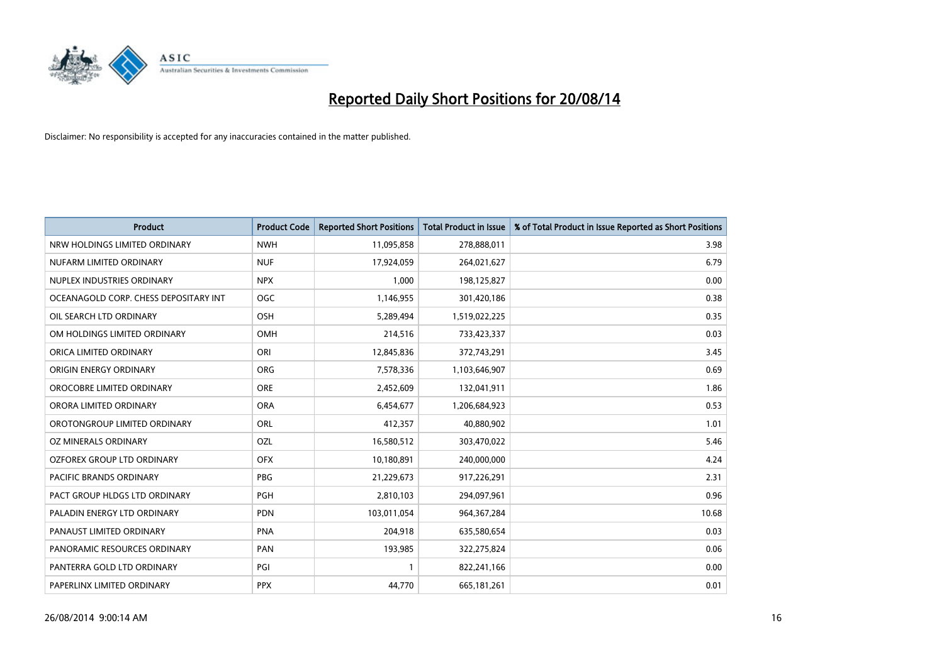

| <b>Product</b>                        | <b>Product Code</b> | <b>Reported Short Positions</b> | <b>Total Product in Issue</b> | % of Total Product in Issue Reported as Short Positions |
|---------------------------------------|---------------------|---------------------------------|-------------------------------|---------------------------------------------------------|
| NRW HOLDINGS LIMITED ORDINARY         | <b>NWH</b>          | 11,095,858                      | 278,888,011                   | 3.98                                                    |
| NUFARM LIMITED ORDINARY               | <b>NUF</b>          | 17,924,059                      | 264,021,627                   | 6.79                                                    |
| NUPLEX INDUSTRIES ORDINARY            | <b>NPX</b>          | 1,000                           | 198,125,827                   | 0.00                                                    |
| OCEANAGOLD CORP. CHESS DEPOSITARY INT | <b>OGC</b>          | 1,146,955                       | 301,420,186                   | 0.38                                                    |
| OIL SEARCH LTD ORDINARY               | OSH                 | 5,289,494                       | 1,519,022,225                 | 0.35                                                    |
| OM HOLDINGS LIMITED ORDINARY          | OMH                 | 214,516                         | 733,423,337                   | 0.03                                                    |
| ORICA LIMITED ORDINARY                | ORI                 | 12,845,836                      | 372,743,291                   | 3.45                                                    |
| ORIGIN ENERGY ORDINARY                | ORG                 | 7,578,336                       | 1,103,646,907                 | 0.69                                                    |
| OROCOBRE LIMITED ORDINARY             | <b>ORE</b>          | 2,452,609                       | 132,041,911                   | 1.86                                                    |
| ORORA LIMITED ORDINARY                | <b>ORA</b>          | 6,454,677                       | 1,206,684,923                 | 0.53                                                    |
| OROTONGROUP LIMITED ORDINARY          | ORL                 | 412,357                         | 40,880,902                    | 1.01                                                    |
| OZ MINERALS ORDINARY                  | OZL                 | 16,580,512                      | 303,470,022                   | 5.46                                                    |
| OZFOREX GROUP LTD ORDINARY            | <b>OFX</b>          | 10,180,891                      | 240,000,000                   | 4.24                                                    |
| <b>PACIFIC BRANDS ORDINARY</b>        | <b>PBG</b>          | 21,229,673                      | 917,226,291                   | 2.31                                                    |
| PACT GROUP HLDGS LTD ORDINARY         | PGH                 | 2,810,103                       | 294,097,961                   | 0.96                                                    |
| PALADIN ENERGY LTD ORDINARY           | <b>PDN</b>          | 103,011,054                     | 964, 367, 284                 | 10.68                                                   |
| PANAUST LIMITED ORDINARY              | <b>PNA</b>          | 204,918                         | 635,580,654                   | 0.03                                                    |
| PANORAMIC RESOURCES ORDINARY          | PAN                 | 193,985                         | 322,275,824                   | 0.06                                                    |
| PANTERRA GOLD LTD ORDINARY            | PGI                 | 1                               | 822,241,166                   | 0.00                                                    |
| PAPERLINX LIMITED ORDINARY            | <b>PPX</b>          | 44,770                          | 665, 181, 261                 | 0.01                                                    |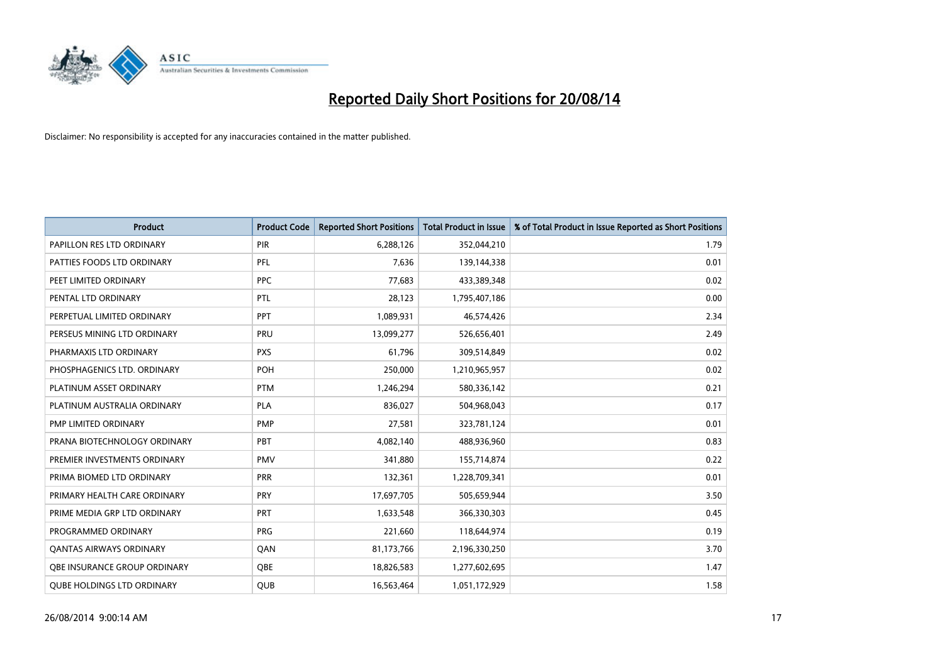

| <b>Product</b>                    | <b>Product Code</b> | <b>Reported Short Positions</b> | <b>Total Product in Issue</b> | % of Total Product in Issue Reported as Short Positions |
|-----------------------------------|---------------------|---------------------------------|-------------------------------|---------------------------------------------------------|
| PAPILLON RES LTD ORDINARY         | PIR                 | 6,288,126                       | 352,044,210                   | 1.79                                                    |
| PATTIES FOODS LTD ORDINARY        | <b>PFL</b>          | 7,636                           | 139,144,338                   | 0.01                                                    |
| PEET LIMITED ORDINARY             | <b>PPC</b>          | 77,683                          | 433,389,348                   | 0.02                                                    |
| PENTAL LTD ORDINARY               | PTL                 | 28,123                          | 1,795,407,186                 | 0.00                                                    |
| PERPETUAL LIMITED ORDINARY        | <b>PPT</b>          | 1,089,931                       | 46,574,426                    | 2.34                                                    |
| PERSEUS MINING LTD ORDINARY       | PRU                 | 13,099,277                      | 526,656,401                   | 2.49                                                    |
| PHARMAXIS LTD ORDINARY            | <b>PXS</b>          | 61,796                          | 309,514,849                   | 0.02                                                    |
| PHOSPHAGENICS LTD. ORDINARY       | POH                 | 250,000                         | 1,210,965,957                 | 0.02                                                    |
| PLATINUM ASSET ORDINARY           | <b>PTM</b>          | 1,246,294                       | 580,336,142                   | 0.21                                                    |
| PLATINUM AUSTRALIA ORDINARY       | <b>PLA</b>          | 836,027                         | 504,968,043                   | 0.17                                                    |
| PMP LIMITED ORDINARY              | <b>PMP</b>          | 27,581                          | 323,781,124                   | 0.01                                                    |
| PRANA BIOTECHNOLOGY ORDINARY      | PBT                 | 4,082,140                       | 488,936,960                   | 0.83                                                    |
| PREMIER INVESTMENTS ORDINARY      | <b>PMV</b>          | 341,880                         | 155,714,874                   | 0.22                                                    |
| PRIMA BIOMED LTD ORDINARY         | <b>PRR</b>          | 132,361                         | 1,228,709,341                 | 0.01                                                    |
| PRIMARY HEALTH CARE ORDINARY      | <b>PRY</b>          | 17,697,705                      | 505,659,944                   | 3.50                                                    |
| PRIME MEDIA GRP LTD ORDINARY      | PRT                 | 1,633,548                       | 366,330,303                   | 0.45                                                    |
| PROGRAMMED ORDINARY               | <b>PRG</b>          | 221,660                         | 118,644,974                   | 0.19                                                    |
| <b>QANTAS AIRWAYS ORDINARY</b>    | QAN                 | 81,173,766                      | 2,196,330,250                 | 3.70                                                    |
| OBE INSURANCE GROUP ORDINARY      | QBE                 | 18,826,583                      | 1,277,602,695                 | 1.47                                                    |
| <b>QUBE HOLDINGS LTD ORDINARY</b> | QUB                 | 16,563,464                      | 1,051,172,929                 | 1.58                                                    |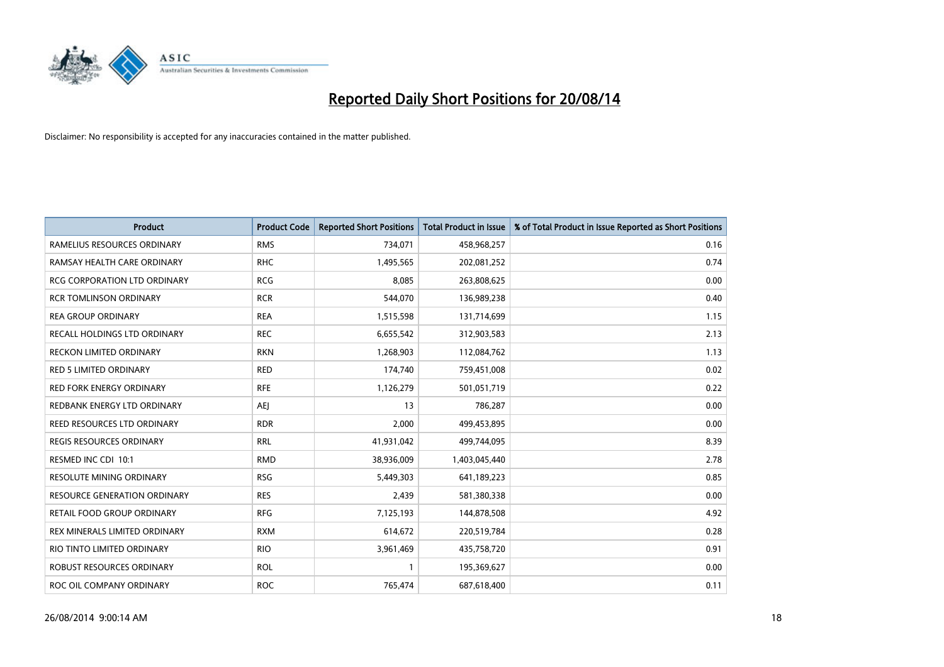

| <b>Product</b>                      | <b>Product Code</b> | <b>Reported Short Positions</b> | <b>Total Product in Issue</b> | % of Total Product in Issue Reported as Short Positions |
|-------------------------------------|---------------------|---------------------------------|-------------------------------|---------------------------------------------------------|
| RAMELIUS RESOURCES ORDINARY         | <b>RMS</b>          | 734,071                         | 458,968,257                   | 0.16                                                    |
| RAMSAY HEALTH CARE ORDINARY         | <b>RHC</b>          | 1,495,565                       | 202,081,252                   | 0.74                                                    |
| <b>RCG CORPORATION LTD ORDINARY</b> | <b>RCG</b>          | 8,085                           | 263,808,625                   | 0.00                                                    |
| <b>RCR TOMLINSON ORDINARY</b>       | <b>RCR</b>          | 544,070                         | 136,989,238                   | 0.40                                                    |
| <b>REA GROUP ORDINARY</b>           | <b>REA</b>          | 1,515,598                       | 131,714,699                   | 1.15                                                    |
| RECALL HOLDINGS LTD ORDINARY        | <b>REC</b>          | 6,655,542                       | 312,903,583                   | 2.13                                                    |
| <b>RECKON LIMITED ORDINARY</b>      | <b>RKN</b>          | 1,268,903                       | 112,084,762                   | 1.13                                                    |
| RED 5 LIMITED ORDINARY              | <b>RED</b>          | 174,740                         | 759,451,008                   | 0.02                                                    |
| <b>RED FORK ENERGY ORDINARY</b>     | <b>RFE</b>          | 1,126,279                       | 501,051,719                   | 0.22                                                    |
| REDBANK ENERGY LTD ORDINARY         | AEJ                 | 13                              | 786,287                       | 0.00                                                    |
| REED RESOURCES LTD ORDINARY         | <b>RDR</b>          | 2,000                           | 499,453,895                   | 0.00                                                    |
| REGIS RESOURCES ORDINARY            | <b>RRL</b>          | 41,931,042                      | 499,744,095                   | 8.39                                                    |
| RESMED INC CDI 10:1                 | <b>RMD</b>          | 38,936,009                      | 1,403,045,440                 | 2.78                                                    |
| RESOLUTE MINING ORDINARY            | <b>RSG</b>          | 5,449,303                       | 641,189,223                   | 0.85                                                    |
| <b>RESOURCE GENERATION ORDINARY</b> | <b>RES</b>          | 2,439                           | 581,380,338                   | 0.00                                                    |
| RETAIL FOOD GROUP ORDINARY          | <b>RFG</b>          | 7,125,193                       | 144,878,508                   | 4.92                                                    |
| REX MINERALS LIMITED ORDINARY       | <b>RXM</b>          | 614,672                         | 220,519,784                   | 0.28                                                    |
| RIO TINTO LIMITED ORDINARY          | <b>RIO</b>          | 3,961,469                       | 435,758,720                   | 0.91                                                    |
| ROBUST RESOURCES ORDINARY           | <b>ROL</b>          | $\mathbf{1}$                    | 195,369,627                   | 0.00                                                    |
| ROC OIL COMPANY ORDINARY            | <b>ROC</b>          | 765,474                         | 687,618,400                   | 0.11                                                    |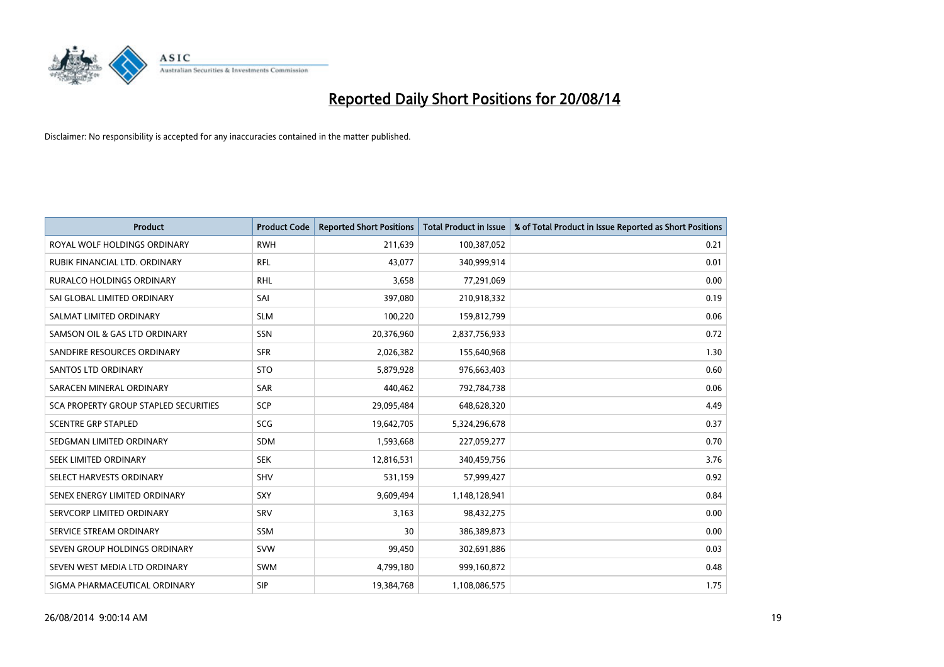

| <b>Product</b>                        | <b>Product Code</b> | <b>Reported Short Positions</b> | <b>Total Product in Issue</b> | % of Total Product in Issue Reported as Short Positions |
|---------------------------------------|---------------------|---------------------------------|-------------------------------|---------------------------------------------------------|
| ROYAL WOLF HOLDINGS ORDINARY          | <b>RWH</b>          | 211,639                         | 100,387,052                   | 0.21                                                    |
| RUBIK FINANCIAL LTD. ORDINARY         | <b>RFL</b>          | 43,077                          | 340,999,914                   | 0.01                                                    |
| <b>RURALCO HOLDINGS ORDINARY</b>      | <b>RHL</b>          | 3,658                           | 77,291,069                    | 0.00                                                    |
| SAI GLOBAL LIMITED ORDINARY           | SAI                 | 397,080                         | 210,918,332                   | 0.19                                                    |
| SALMAT LIMITED ORDINARY               | <b>SLM</b>          | 100,220                         | 159,812,799                   | 0.06                                                    |
| SAMSON OIL & GAS LTD ORDINARY         | SSN                 | 20,376,960                      | 2,837,756,933                 | 0.72                                                    |
| SANDFIRE RESOURCES ORDINARY           | <b>SFR</b>          | 2,026,382                       | 155,640,968                   | 1.30                                                    |
| <b>SANTOS LTD ORDINARY</b>            | <b>STO</b>          | 5,879,928                       | 976,663,403                   | 0.60                                                    |
| SARACEN MINERAL ORDINARY              | SAR                 | 440,462                         | 792,784,738                   | 0.06                                                    |
| SCA PROPERTY GROUP STAPLED SECURITIES | <b>SCP</b>          | 29,095,484                      | 648,628,320                   | 4.49                                                    |
| <b>SCENTRE GRP STAPLED</b>            | SCG                 | 19,642,705                      | 5,324,296,678                 | 0.37                                                    |
| SEDGMAN LIMITED ORDINARY              | <b>SDM</b>          | 1,593,668                       | 227,059,277                   | 0.70                                                    |
| SEEK LIMITED ORDINARY                 | <b>SEK</b>          | 12,816,531                      | 340,459,756                   | 3.76                                                    |
| SELECT HARVESTS ORDINARY              | SHV                 | 531,159                         | 57,999,427                    | 0.92                                                    |
| SENEX ENERGY LIMITED ORDINARY         | <b>SXY</b>          | 9,609,494                       | 1,148,128,941                 | 0.84                                                    |
| SERVCORP LIMITED ORDINARY             | SRV                 | 3,163                           | 98,432,275                    | 0.00                                                    |
| SERVICE STREAM ORDINARY               | SSM                 | 30                              | 386,389,873                   | 0.00                                                    |
| SEVEN GROUP HOLDINGS ORDINARY         | <b>SVW</b>          | 99,450                          | 302,691,886                   | 0.03                                                    |
| SEVEN WEST MEDIA LTD ORDINARY         | <b>SWM</b>          | 4,799,180                       | 999,160,872                   | 0.48                                                    |
| SIGMA PHARMACEUTICAL ORDINARY         | <b>SIP</b>          | 19,384,768                      | 1,108,086,575                 | 1.75                                                    |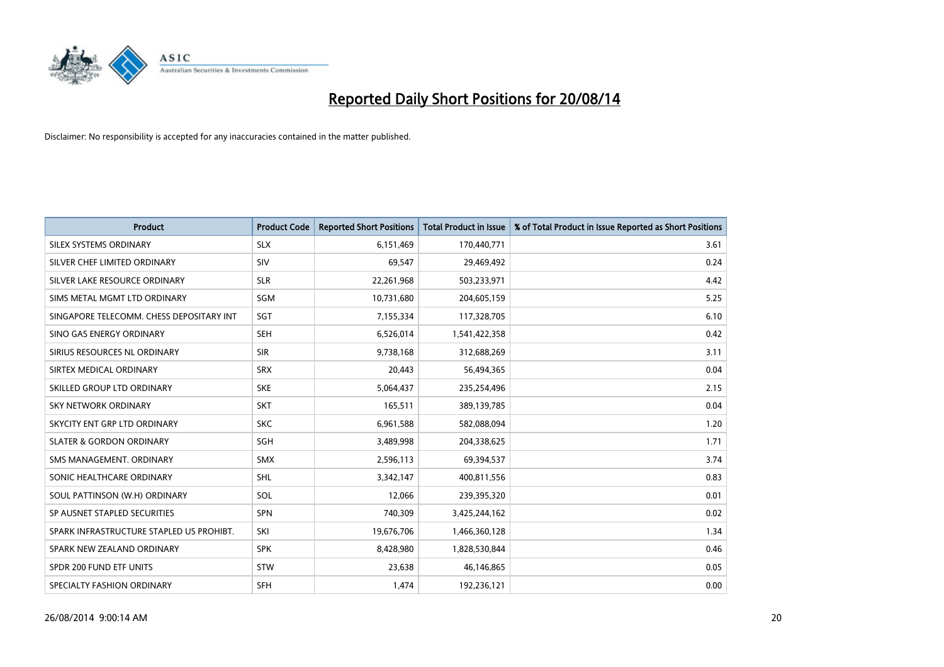

| <b>Product</b>                           | <b>Product Code</b> | <b>Reported Short Positions</b> | <b>Total Product in Issue</b> | % of Total Product in Issue Reported as Short Positions |
|------------------------------------------|---------------------|---------------------------------|-------------------------------|---------------------------------------------------------|
| SILEX SYSTEMS ORDINARY                   | <b>SLX</b>          | 6,151,469                       | 170,440,771                   | 3.61                                                    |
| SILVER CHEF LIMITED ORDINARY             | SIV                 | 69,547                          | 29,469,492                    | 0.24                                                    |
| SILVER LAKE RESOURCE ORDINARY            | <b>SLR</b>          | 22,261,968                      | 503,233,971                   | 4.42                                                    |
| SIMS METAL MGMT LTD ORDINARY             | SGM                 | 10,731,680                      | 204,605,159                   | 5.25                                                    |
| SINGAPORE TELECOMM. CHESS DEPOSITARY INT | SGT                 | 7,155,334                       | 117,328,705                   | 6.10                                                    |
| SINO GAS ENERGY ORDINARY                 | <b>SEH</b>          | 6,526,014                       | 1,541,422,358                 | 0.42                                                    |
| SIRIUS RESOURCES NL ORDINARY             | <b>SIR</b>          | 9,738,168                       | 312,688,269                   | 3.11                                                    |
| SIRTEX MEDICAL ORDINARY                  | <b>SRX</b>          | 20,443                          | 56,494,365                    | 0.04                                                    |
| SKILLED GROUP LTD ORDINARY               | <b>SKE</b>          | 5,064,437                       | 235,254,496                   | 2.15                                                    |
| <b>SKY NETWORK ORDINARY</b>              | <b>SKT</b>          | 165,511                         | 389,139,785                   | 0.04                                                    |
| SKYCITY ENT GRP LTD ORDINARY             | <b>SKC</b>          | 6,961,588                       | 582,088,094                   | 1.20                                                    |
| <b>SLATER &amp; GORDON ORDINARY</b>      | SGH                 | 3,489,998                       | 204,338,625                   | 1.71                                                    |
| SMS MANAGEMENT. ORDINARY                 | SMX                 | 2,596,113                       | 69,394,537                    | 3.74                                                    |
| SONIC HEALTHCARE ORDINARY                | SHL                 | 3,342,147                       | 400,811,556                   | 0.83                                                    |
| SOUL PATTINSON (W.H) ORDINARY            | SOL                 | 12,066                          | 239,395,320                   | 0.01                                                    |
| SP AUSNET STAPLED SECURITIES             | SPN                 | 740,309                         | 3,425,244,162                 | 0.02                                                    |
| SPARK INFRASTRUCTURE STAPLED US PROHIBT. | SKI                 | 19,676,706                      | 1,466,360,128                 | 1.34                                                    |
| SPARK NEW ZEALAND ORDINARY               | <b>SPK</b>          | 8,428,980                       | 1,828,530,844                 | 0.46                                                    |
| SPDR 200 FUND ETF UNITS                  | STW                 | 23,638                          | 46,146,865                    | 0.05                                                    |
| SPECIALTY FASHION ORDINARY               | <b>SFH</b>          | 1,474                           | 192,236,121                   | 0.00                                                    |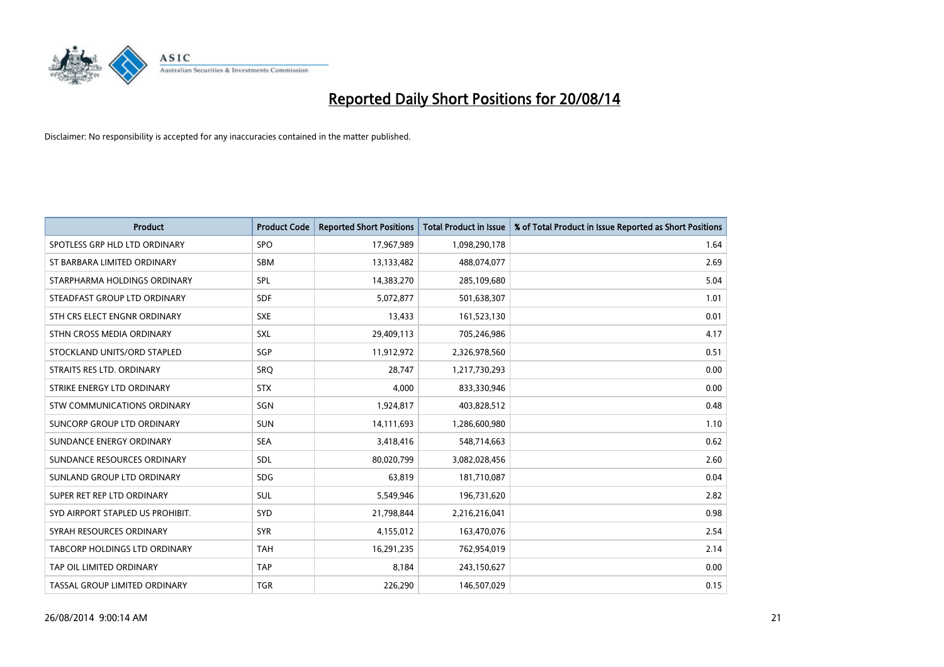

| <b>Product</b>                   | <b>Product Code</b> | <b>Reported Short Positions</b> | <b>Total Product in Issue</b> | % of Total Product in Issue Reported as Short Positions |
|----------------------------------|---------------------|---------------------------------|-------------------------------|---------------------------------------------------------|
| SPOTLESS GRP HLD LTD ORDINARY    | <b>SPO</b>          | 17,967,989                      | 1,098,290,178                 | 1.64                                                    |
| ST BARBARA LIMITED ORDINARY      | SBM                 | 13,133,482                      | 488,074,077                   | 2.69                                                    |
| STARPHARMA HOLDINGS ORDINARY     | <b>SPL</b>          | 14,383,270                      | 285,109,680                   | 5.04                                                    |
| STEADFAST GROUP LTD ORDINARY     | <b>SDF</b>          | 5,072,877                       | 501,638,307                   | 1.01                                                    |
| STH CRS ELECT ENGNR ORDINARY     | <b>SXE</b>          | 13,433                          | 161,523,130                   | 0.01                                                    |
| STHN CROSS MEDIA ORDINARY        | <b>SXL</b>          | 29,409,113                      | 705,246,986                   | 4.17                                                    |
| STOCKLAND UNITS/ORD STAPLED      | <b>SGP</b>          | 11,912,972                      | 2,326,978,560                 | 0.51                                                    |
| STRAITS RES LTD. ORDINARY        | SRO                 | 28,747                          | 1,217,730,293                 | 0.00                                                    |
| STRIKE ENERGY LTD ORDINARY       | <b>STX</b>          | 4,000                           | 833,330,946                   | 0.00                                                    |
| STW COMMUNICATIONS ORDINARY      | SGN                 | 1,924,817                       | 403,828,512                   | 0.48                                                    |
| SUNCORP GROUP LTD ORDINARY       | <b>SUN</b>          | 14,111,693                      | 1,286,600,980                 | 1.10                                                    |
| SUNDANCE ENERGY ORDINARY         | <b>SEA</b>          | 3,418,416                       | 548,714,663                   | 0.62                                                    |
| SUNDANCE RESOURCES ORDINARY      | <b>SDL</b>          | 80,020,799                      | 3,082,028,456                 | 2.60                                                    |
| SUNLAND GROUP LTD ORDINARY       | <b>SDG</b>          | 63,819                          | 181,710,087                   | 0.04                                                    |
| SUPER RET REP LTD ORDINARY       | <b>SUL</b>          | 5,549,946                       | 196,731,620                   | 2.82                                                    |
| SYD AIRPORT STAPLED US PROHIBIT. | SYD                 | 21,798,844                      | 2,216,216,041                 | 0.98                                                    |
| SYRAH RESOURCES ORDINARY         | <b>SYR</b>          | 4,155,012                       | 163,470,076                   | 2.54                                                    |
| TABCORP HOLDINGS LTD ORDINARY    | <b>TAH</b>          | 16,291,235                      | 762,954,019                   | 2.14                                                    |
| TAP OIL LIMITED ORDINARY         | <b>TAP</b>          | 8,184                           | 243,150,627                   | 0.00                                                    |
| TASSAL GROUP LIMITED ORDINARY    | <b>TGR</b>          | 226,290                         | 146,507,029                   | 0.15                                                    |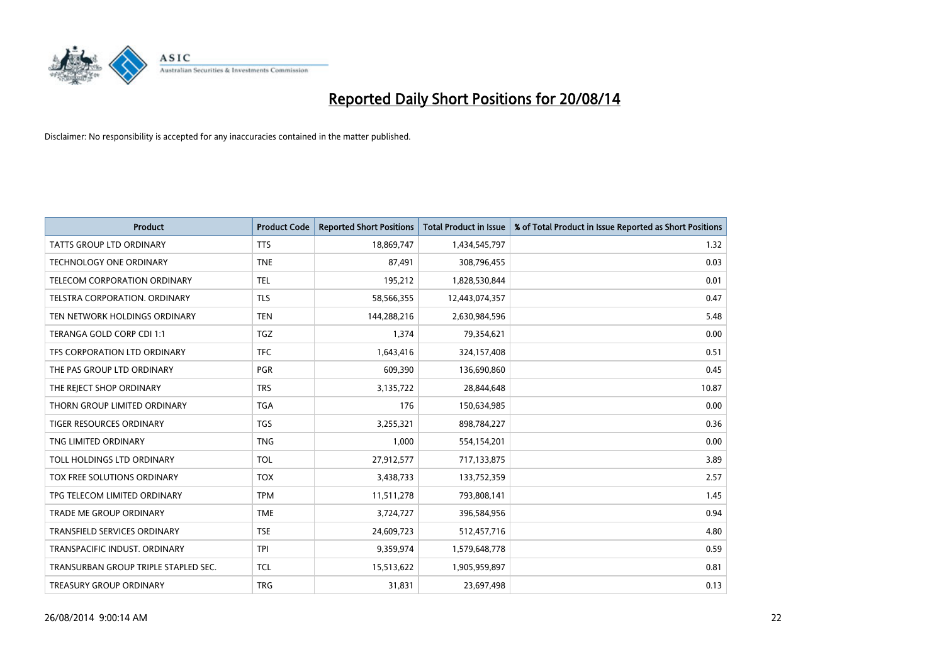

| <b>Product</b>                       | <b>Product Code</b> | <b>Reported Short Positions</b> | <b>Total Product in Issue</b> | % of Total Product in Issue Reported as Short Positions |
|--------------------------------------|---------------------|---------------------------------|-------------------------------|---------------------------------------------------------|
| <b>TATTS GROUP LTD ORDINARY</b>      | <b>TTS</b>          | 18,869,747                      | 1,434,545,797                 | 1.32                                                    |
| TECHNOLOGY ONE ORDINARY              | <b>TNE</b>          | 87,491                          | 308,796,455                   | 0.03                                                    |
| TELECOM CORPORATION ORDINARY         | <b>TEL</b>          | 195,212                         | 1,828,530,844                 | 0.01                                                    |
| TELSTRA CORPORATION, ORDINARY        | <b>TLS</b>          | 58,566,355                      | 12,443,074,357                | 0.47                                                    |
| TEN NETWORK HOLDINGS ORDINARY        | <b>TEN</b>          | 144,288,216                     | 2,630,984,596                 | 5.48                                                    |
| TERANGA GOLD CORP CDI 1:1            | <b>TGZ</b>          | 1,374                           | 79,354,621                    | 0.00                                                    |
| TFS CORPORATION LTD ORDINARY         | <b>TFC</b>          | 1,643,416                       | 324,157,408                   | 0.51                                                    |
| THE PAS GROUP LTD ORDINARY           | <b>PGR</b>          | 609,390                         | 136,690,860                   | 0.45                                                    |
| THE REJECT SHOP ORDINARY             | <b>TRS</b>          | 3,135,722                       | 28,844,648                    | 10.87                                                   |
| THORN GROUP LIMITED ORDINARY         | <b>TGA</b>          | 176                             | 150,634,985                   | 0.00                                                    |
| TIGER RESOURCES ORDINARY             | <b>TGS</b>          | 3,255,321                       | 898,784,227                   | 0.36                                                    |
| TNG LIMITED ORDINARY                 | <b>TNG</b>          | 1,000                           | 554,154,201                   | 0.00                                                    |
| TOLL HOLDINGS LTD ORDINARY           | <b>TOL</b>          | 27,912,577                      | 717,133,875                   | 3.89                                                    |
| TOX FREE SOLUTIONS ORDINARY          | <b>TOX</b>          | 3,438,733                       | 133,752,359                   | 2.57                                                    |
| TPG TELECOM LIMITED ORDINARY         | <b>TPM</b>          | 11,511,278                      | 793,808,141                   | 1.45                                                    |
| TRADE ME GROUP ORDINARY              | <b>TME</b>          | 3,724,727                       | 396,584,956                   | 0.94                                                    |
| TRANSFIELD SERVICES ORDINARY         | <b>TSE</b>          | 24,609,723                      | 512,457,716                   | 4.80                                                    |
| TRANSPACIFIC INDUST, ORDINARY        | <b>TPI</b>          | 9,359,974                       | 1,579,648,778                 | 0.59                                                    |
| TRANSURBAN GROUP TRIPLE STAPLED SEC. | <b>TCL</b>          | 15,513,622                      | 1,905,959,897                 | 0.81                                                    |
| TREASURY GROUP ORDINARY              | <b>TRG</b>          | 31,831                          | 23,697,498                    | 0.13                                                    |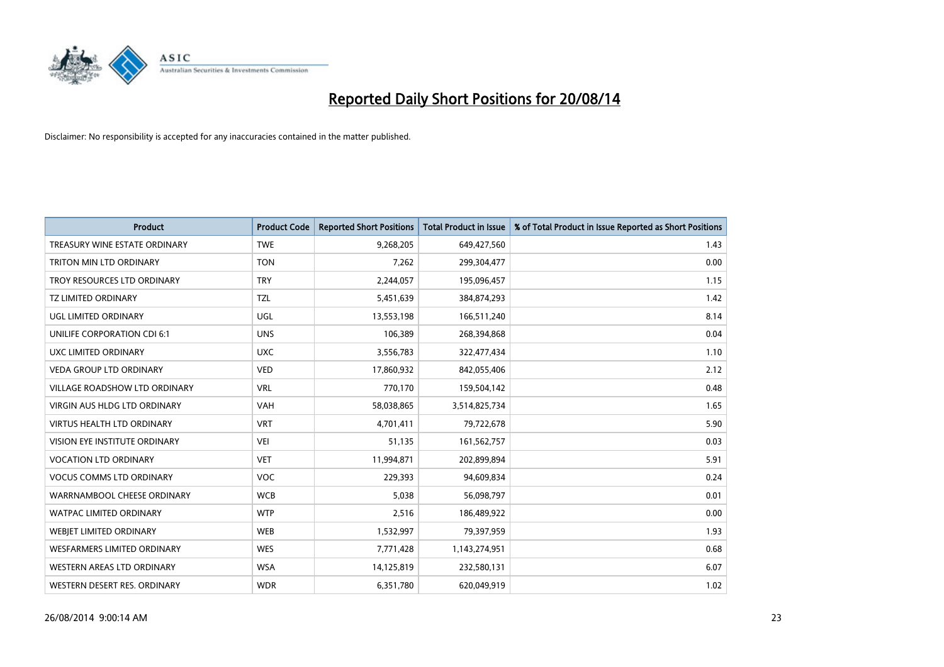

| <b>Product</b>                       | <b>Product Code</b> | <b>Reported Short Positions</b> | <b>Total Product in Issue</b> | % of Total Product in Issue Reported as Short Positions |
|--------------------------------------|---------------------|---------------------------------|-------------------------------|---------------------------------------------------------|
| TREASURY WINE ESTATE ORDINARY        | <b>TWE</b>          | 9,268,205                       | 649,427,560                   | 1.43                                                    |
| TRITON MIN LTD ORDINARY              | <b>TON</b>          | 7,262                           | 299,304,477                   | 0.00                                                    |
| TROY RESOURCES LTD ORDINARY          | <b>TRY</b>          | 2,244,057                       | 195,096,457                   | 1.15                                                    |
| TZ LIMITED ORDINARY                  | <b>TZL</b>          | 5,451,639                       | 384,874,293                   | 1.42                                                    |
| <b>UGL LIMITED ORDINARY</b>          | UGL                 | 13,553,198                      | 166,511,240                   | 8.14                                                    |
| UNILIFE CORPORATION CDI 6:1          | <b>UNS</b>          | 106,389                         | 268,394,868                   | 0.04                                                    |
| UXC LIMITED ORDINARY                 | <b>UXC</b>          | 3,556,783                       | 322,477,434                   | 1.10                                                    |
| <b>VEDA GROUP LTD ORDINARY</b>       | <b>VED</b>          | 17,860,932                      | 842,055,406                   | 2.12                                                    |
| <b>VILLAGE ROADSHOW LTD ORDINARY</b> | <b>VRL</b>          | 770.170                         | 159,504,142                   | 0.48                                                    |
| VIRGIN AUS HLDG LTD ORDINARY         | <b>VAH</b>          | 58,038,865                      | 3,514,825,734                 | 1.65                                                    |
| <b>VIRTUS HEALTH LTD ORDINARY</b>    | <b>VRT</b>          | 4,701,411                       | 79,722,678                    | 5.90                                                    |
| <b>VISION EYE INSTITUTE ORDINARY</b> | <b>VEI</b>          | 51,135                          | 161,562,757                   | 0.03                                                    |
| <b>VOCATION LTD ORDINARY</b>         | <b>VET</b>          | 11,994,871                      | 202,899,894                   | 5.91                                                    |
| <b>VOCUS COMMS LTD ORDINARY</b>      | <b>VOC</b>          | 229,393                         | 94,609,834                    | 0.24                                                    |
| WARRNAMBOOL CHEESE ORDINARY          | <b>WCB</b>          | 5,038                           | 56,098,797                    | 0.01                                                    |
| <b>WATPAC LIMITED ORDINARY</b>       | <b>WTP</b>          | 2,516                           | 186,489,922                   | 0.00                                                    |
| WEBJET LIMITED ORDINARY              | <b>WEB</b>          | 1,532,997                       | 79,397,959                    | 1.93                                                    |
| <b>WESFARMERS LIMITED ORDINARY</b>   | <b>WES</b>          | 7,771,428                       | 1,143,274,951                 | 0.68                                                    |
| WESTERN AREAS LTD ORDINARY           | <b>WSA</b>          | 14,125,819                      | 232,580,131                   | 6.07                                                    |
| WESTERN DESERT RES. ORDINARY         | <b>WDR</b>          | 6,351,780                       | 620,049,919                   | 1.02                                                    |